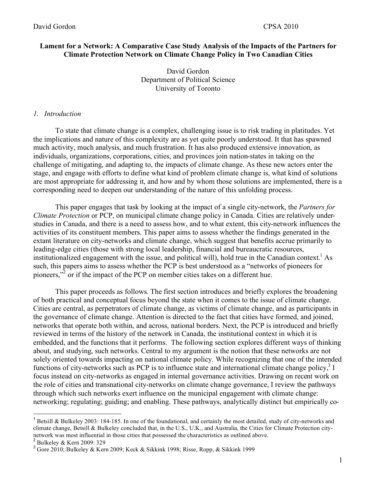# **Lament for a Network: A Comparative Case Study Analysis of the Impacts of the Partners for Climate Protection Network on Climate Change Policy in Two Canadian Cities**

David Gordon Department of Political Science University of Toronto

### *1. Introduction*

To state that climate change is a complex, challenging issue is to risk trading in platitudes. Yet the implications and nature of this complexity are as yet quite poorly understood. It that has spawned much activity, much analysis, and much frustration. It has also produced extensive innovation, as individuals, organizations, corporations, cities, and provinces join nation-states in taking on the challenge of mitigating, and adapting to, the impacts of climate change. As these new actors enter the stage, and engage with efforts to define what kind of problem climate change is, what kind of solutions are most appropriate for addressing it, and how and by whom those solutions are implemented, there is a corresponding need to deepen our understanding of the nature of this unfolding process.

This paper engages that task by looking at the impact of a single city-network, the *Partners for Climate Protection* or PCP, on municipal climate change policy in Canada. Cities are relatively understudies in Canada, and there is a need to assess how, and to what extent, this city-network influences the activities of its constituent members. This paper aims to assess whether the findings generated in the extant literature on city-networks and climate change, which suggest that benefits accrue primarily to leading-edge cities (those with strong local leadership, financial and bureaucratic resources, institutionalized engagement with the issue, and political will), hold true in the Canadian context.<sup>1</sup> As such, this papers aims to assess whether the PCP is best understood as a "networks of pioneers for pioneers,"<sup>2</sup> or if the impact of the PCP on member cities takes on a different hue.

This paper proceeds as follows*.* The first section introduces and briefly explores the broadening of both practical and conceptual focus beyond the state when it comes to the issue of climate change. Cities are central, as perpetrators of climate change, as victims of climate change, and as participants in the governance of climate change. Attention is directed to the fact that cities have formed, and joined, networks that operate both within, and across, national borders. Next, the PCP is introduced and briefly reviewed in terms of the history of the network in Canada, the institutional context in which it is embedded, and the functions that it performs. The following section explores different ways of thinking about, and studying, such networks. Central to my argument is the notion that these networks are not solely oriented towards impacting on national climate policy. While recognizing that one of the intended functions of city-networks such as PCP is to influence state and international climate change policy, $3 \text{ I}$ focus instead on city-networks as engaged in internal governance activities. Drawing on recent work on the role of cities and transnational city-networks on climate change governance, I review the pathways through which such networks exert influence on the municipal engagement with climate change: networking; regulating; guiding; and enabling. These pathways, analytically distinct but empirically co-

 $\frac{1}{1}$  Betsill & Bulkeley 2003: 184-185. In one of the foundational, and certainly the most detailed, study of city-networks and climate change, Betsill & Bulkeley concluded that, in the U.S., U.K., and Australia, the Cities for Climate Protection citynetwork was most influential in those cities that possessed the characteristics as outlined above.

<sup>&</sup>lt;sup>2</sup> Bulkeley & Kern 2009: 329

 $3$  Gore 2010; Bulkeley & Kern 2009; Keck & Sikkink 1998; Risse, Ropp, & Sikkink 1999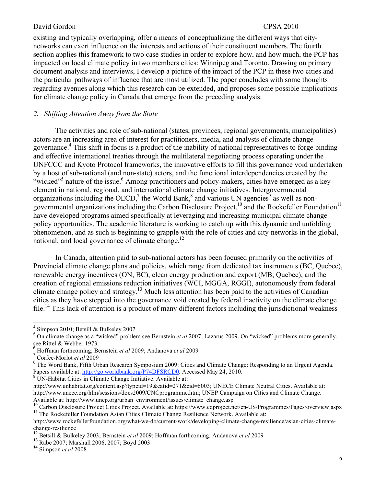existing and typically overlapping, offer a means of conceptualizing the different ways that citynetworks can exert influence on the interests and actions of their constituent members. The fourth section applies this framework to two case studies in order to explore how, and how much, the PCP has impacted on local climate policy in two members cities: Winnipeg and Toronto. Drawing on primary document analysis and interviews, I develop a picture of the impact of the PCP in these two cities and the particular pathways of influence that are most utilized. The paper concludes with some thoughts regarding avenues along which this research can be extended, and proposes some possible implications for climate change policy in Canada that emerge from the preceding analysis.

## *2. Shifting Attention Away from the State*

The activities and role of sub-national (states, provinces, regional governments, municipalities) actors are an increasing area of interest for practitioners, media, and analysts of climate change governance.<sup>4</sup> This shift in focus is a product of the inability of national representatives to forge binding and effective international treaties through the multilateral negotiating process operating under the UNFCCC and Kyoto Protocol frameworks, the innovative efforts to fill this governance void undertaken by a host of sub-national (and non-state) actors, and the functional interdependencies created by the "wicked"<sup>5</sup> nature of the issue.<sup>6</sup> Among practitioners and policy-makers, cities have emerged as a key element in national, regional, and international climate change initiatives. Intergovernmental organizations including the OECD,<sup>7</sup> the World Bank,<sup>8</sup> and various UN agencies<sup>9</sup> as well as nongovernmental organizations including the Carbon Disclosure Project,<sup>10</sup> and the Rockefeller Foundation<sup>11</sup> have developed programs aimed specifically at leveraging and increasing municipal climate change policy opportunities. The academic literature is working to catch up with this dynamic and unfolding phenomenon, and as such is beginning to grapple with the role of cities and city-networks in the global, national, and local governance of climate change.<sup>12</sup>

In Canada, attention paid to sub-national actors has been focused primarily on the activities of Provincial climate change plans and policies, which range from dedicated tax instruments (BC, Quebec), renewable energy incentives (ON, BC), clean energy production and export (MB, Quebec), and the creation of regional emissions reduction initiatives (WCI, MGGA, RGGI), autonomously from federal climate change policy and strategy.13 Much less attention has been paid to the activities of Canadian cities as they have stepped into the governance void created by federal inactivity on the climate change file.<sup>14</sup> This lack of attention is a product of many different factors including the jurisdictional weakness

- <sup>9</sup> UN-Habitat Cities in Climate Change Initiative. Available at:
- http://www.unhabitat.org/content.asp?typeid=19&catid=271&cid=6003; UNECE Climate Neutral Cities. Available at: http://www.unece.org/hlm/sessions/docs2009/CNCprogramme.htm; UNEP Campaign on Cities and Climate Change. Available at: http://www.unep.org/urban\_environment/issues/climate\_change.asp

 $\frac{1}{4}$ <sup>4</sup> Simpson 2010; Betsill & Bulkeley 2007

On climate change as a "wicked" problem see Bernstein *et al* 2007; Lazarus 2009. On "wicked" problems more generally, see Rittel & Webber 1973.

Hoffman forthcoming; Bernstein *et al* 2009; Andanova *et al* 2009

<sup>7</sup> Corfee-Morlot *et al* 2009

<sup>&</sup>lt;sup>8</sup> The Word Bank, Fifth Urban Research Symposium 2009: Cities and Climate Change: Responding to an Urgent Agenda. Papers available at: http://go.worldbank.org/P74DFSRCD0. Accessed May 24, 2010.

<sup>&</sup>lt;sup>10</sup> Carbon Disclosure Project Cities Project. Available at: https://www.cdproject.net/en-US/Programmes/Pages/overview.aspx <sup>11</sup> The Rockefeller Foundation Asian Cities Climate Change Resilience Network. Available at:

http://www.rockefellerfoundation.org/what-we-do/current-work/developing-climate-change-resilience/asian-cities-climatechange-resilience

<sup>12</sup> Betsill & Bulkeley 2003; Bernstein *et al* 2009; Hoffman forthcoming; Andanova *et al* 2009

<sup>13</sup> Rabe 2007; Marshall 2006, 2007; Boyd 2003 <sup>14</sup> Simpson *et al* 2008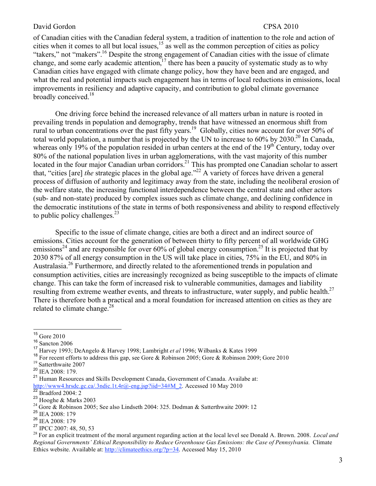of Canadian cities with the Canadian federal system, a tradition of inattention to the role and action of cities when it comes to all but local issues,<sup>15</sup> as well as the common perception of cities as policy "takers," not "makers".<sup>16</sup> Despite the strong engagement of Canadian cities with the issue of climate change, and some early academic attention,<sup>17</sup> there has been a paucity of systematic study as to why Canadian cities have engaged with climate change policy, how they have been and are engaged, and what the real and potential impacts such engagement has in terms of local reductions in emissions, local improvements in resiliency and adaptive capacity, and contribution to global climate governance broadly conceived.<sup>18</sup>

One driving force behind the increased relevance of all matters urban in nature is rooted in prevailing trends in population and demography, trends that have witnessed an enormous shift from rural to urban concentrations over the past fifty years.19 Globally, cities now account for over 50% of total world population, a number that is projected by the UN to increase to 60% by 2030.<sup>20</sup> In Canada, whereas only 19% of the population resided in urban centers at the end of the  $19<sup>th</sup>$  Century, today over 80% of the national population lives in urban agglomerations, with the vast majority of this number located in the four major Canadian urban corridors.<sup>21</sup> This has prompted one Canadian scholar to assert that, "cities [are] *the* strategic places in the global age."22 A variety of forces have driven a general process of diffusion of authority and legitimacy away from the state, including the neoliberal erosion of the welfare state, the increasing functional interdependence between the central state and other actors (sub- and non-state) produced by complex issues such as climate change, and declining confidence in the democratic institutions of the state in terms of both responsiveness and ability to respond effectively to public policy challenges. $^{23}$ 

Specific to the issue of climate change, cities are both a direct and an indirect source of emissions. Cities account for the generation of between thirty to fifty percent of all worldwide GHG emissions<sup>24</sup> and are responsible for over 60% of global energy consumption.<sup>25</sup> It is projected that by 2030 87% of all energy consumption in the US will take place in cities, 75% in the EU, and 80% in Australasia.<sup>26</sup> Furthermore, and directly related to the aforementioned trends in population and consumption activities, cities are increasingly recognized as being susceptible to the impacts of climate change. This can take the form of increased risk to vulnerable communities, damages and liability resulting from extreme weather events, and threats to infrastructure, water supply, and public health.<sup>27</sup> There is therefore both a practical and a moral foundation for increased attention on cities as they are related to climate change.<sup>28</sup>

<sup>15</sup> Gore 2010

<sup>16</sup> Sancton 2006

<sup>&</sup>lt;sup>17</sup> Harvey 1993; DeAngelo & Harvey 1998; Lambright *et al* 1996; Wilbanks & Kates 1999<br><sup>18</sup> For recent efforts to address this gap, see Gore & Robinson 2005; Gore & Robinson 2000

<sup>&</sup>lt;sup>18</sup> For recent efforts to address this gap, see Gore & Robinson 2005; Gore & Robinson 2009; Gore 2010 <sup>19</sup> Satterthwaite 2007

 $^{20}$  IEA 2008: 179.<br><sup>21</sup> Human Resource

<sup>21</sup> Human Resources and Skills Development Canada, Government of Canada. Availabe at: http://www4.hrsdc.gc.ca/.3ndic.1t.4r@-eng.jsp?iid=34#M\_2. Accessed 10 May 2010<br><sup>22</sup> Bradford 2004: 2<br><sup>23</sup> Hooghe & Marks 2003

<sup>&</sup>lt;sup>24</sup> Gore & Robinson 2005; See also Lindseth 2004: 325. Dodman & Satterthwaite 2009: 12

<sup>25</sup> IEA 2008: 179

 $\frac{26}{27}$  IEA 2008: 179<br>
<sup>27</sup> IPCC 2007: 48, 50, 53

<sup>&</sup>lt;sup>28</sup> For an explicit treatment of the moral argument regarding action at the local level see Donald A. Brown. 2008. *Local and Regional Governments' Ethical Responsibility to Reduce Greenhouse Gas Emissions: the Case of Pennsylvania.* Climate Ethics website. Available at: http://climateethics.org/?p=34. Accessed May 15, 2010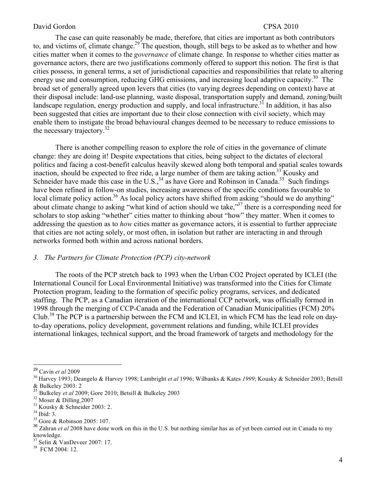The case can quite reasonably be made, therefore, that cities are important as both contributors to, and victims of, climate change.<sup>29</sup> The question, though, still begs to be asked as to whether and how cities matter when it comes to the *governance* of climate change. In response to whether cities matter as governance actors, there are two justifications commonly offered to support this notion. The first is that cities possess, in general terms, a set of jurisdictional capacities and responsibilities that relate to altering energy use and consumption, reducing GHG emissions, and increasing local adaptive capacity.<sup>30</sup> The broad set of generally agreed upon levers that cities (to varying degrees depending on context) have at their disposal include: land-use planning, waste disposal, transportation supply and demand, zoning/built landscape regulation, energy production and supply, and local infrastructure.<sup>31</sup> In addition, it has also been suggested that cities are important due to their close connection with civil society, which may enable them to instigate the broad behavioural changes deemed to be necessary to reduce emissions to the necessary trajectory. $32$ 

There is another compelling reason to explore the role of cities in the governance of climate change: they are doing it! Despite expectations that cities, being subject to the dictates of electoral politics and facing a cost-benefit calculus heavily skewed along both temporal and spatial scales towards inaction, should be expected to free ride, a large number of them are taking action.<sup>33</sup> Kousky and Schneider have made this case in the U.S.,  $34$  as have Gore and Robinson in Canada.<sup>35</sup> Such findings have been refined in follow-on studies, increasing awareness of the specific conditions favourable to local climate policy action.<sup>36</sup> As local policy actors have shifted from asking "should we do anything" about climate change to asking "what kind of action should we take,"37 there is a corresponding need for scholars to stop asking "whether" cities matter to thinking about "how" they matter. When it comes to addressing the question as to *how* cities matter as governance actors, it is essential to further appreciate that cities are not acting solely, or most often, in isolation but rather are interacting in and through networks formed both within and across national borders.

### *3. The Partners for Climate Protection (PCP) city-network*

The roots of the PCP stretch back to 1993 when the Urban CO2 Project operated by ICLEI (the International Council for Local Environmental Initiative) was transformed into the Cities for Climate Protection program, leading to the formation of specific policy programs, services, and dedicated staffing. The PCP, as a Canadian iteration of the international CCP network, was officially formed in 1998 through the merging of CCP-Canada and the Federation of Canadian Municipalities (FCM) 20% Club.38 The PCP is a partnership between the FCM and ICLEI, in which FCM has the lead role on dayto-day operations, policy development, government relations and funding, while ICLEI provides international linkages, technical support, and the broad framework of targets and methodology for the

38 FCM 2004: 12.

<sup>&</sup>lt;sup>29</sup> Cavin *et al* 2009<br><sup>30</sup> Harvey 1993; Deangelo & Harvey 1998; Lambright *et al* 1996; Wilbanks & Kates *1999*; Kousky & Schneider 2003; Betsill & Bulkeley 2003: 2<br> $^{31}$  Bulkeley 2003: 2

<sup>&</sup>lt;sup>31</sup> Bulkeley *et al* 2009; Gore 2010; Betsill & Bulkeley 2003<br><sup>32</sup> Moser & Dilling 2007<br><sup>33</sup> Kousky & Schneider 2003: 2.

<sup>34</sup> Ibid: 3.

<sup>35</sup> Gore & Robinson 2005: 107.

<sup>&</sup>lt;sup>36</sup> Zahran *et al* 2008 have done work on this in the U.S. but nothing similar has as of yet been carried out in Canada to my knowledge.

<sup>37</sup> Selin & VanDeveer 2007: 17.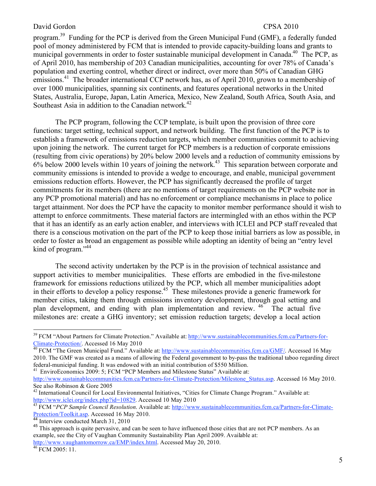program.39 Funding for the PCP is derived from the Green Municipal Fund (GMF), a federally funded pool of money administered by FCM that is intended to provide capacity-building loans and grants to municipal governments in order to foster sustainable municipal development in Canada.<sup>40</sup> The PCP, as of April 2010, has membership of 203 Canadian municipalities, accounting for over 78% of Canada's population and exerting control, whether direct or indirect, over more than 50% of Canadian GHG emissions.<sup>41</sup> The broader international CCP network has, as of April 2010, grown to a membership of over 1000 municipalities, spanning six continents, and features operational networks in the United States, Australia, Europe, Japan, Latin America, Mexico, New Zealand, South Africa, South Asia, and Southeast Asia in addition to the Canadian network.<sup>42</sup>

The PCP program, following the CCP template, is built upon the provision of three core functions: target setting, technical support, and network building. The first function of the PCP is to establish a framework of emissions reduction targets, which member communities commit to achieving upon joining the network. The current target for PCP members is a reduction of corporate emissions (resulting from civic operations) by 20% below 2000 levels and a reduction of community emissions by  $6\%$  below 2000 levels within 10 years of joining the network.<sup>43</sup> This separation between corporate and community emissions is intended to provide a wedge to encourage, and enable, municipal government emissions reduction efforts. However, the PCP has significantly decreased the profile of target commitments for its members (there are no mentions of target requirements on the PCP website nor in any PCP promotional material) and has no enforcement or compliance mechanisms in place to police target attainment. Nor does the PCP have the capacity to monitor member performance should it wish to attempt to enforce commitments. These material factors are intermingled with an ethos within the PCP that it has an identify as an early action enabler, and interviews with ICLEI and PCP staff revealed that there is a conscious motivation on the part of the PCP to keep those initial barriers as low as possible, in order to foster as broad an engagement as possible while adopting an identity of being an "entry level kind of program."<sup>44</sup>

The second activity undertaken by the PCP is in the provision of technical assistance and support activities to member municipalities. These efforts are embodied in the five-milestone framework for emissions reductions utilized by the PCP, which all member municipalities adopt in their efforts to develop a policy response.<sup>45</sup> These milestones provide a generic framework for member cities, taking them through emissions inventory development, through goal setting and plan development, and ending with plan implementation and review. <sup>46</sup> The actual five milestones are: create a GHG inventory; set emission reduction targets; develop a local action

 $39$  FCM "About Partners for Climate Protection." Available at:  $\frac{http://www.sustainable communities.fcm.ca/Partners-for-  
Climate-Protection/. Accessed 16 Mav 2010$ 

<sup>&</sup>lt;sup>201</sup> FCM "The Green Municipal Fund." Available at: http://www.sustainablecommunities.fcm.ca/GMF/. Accessed 16 May 2010. The GMF was created as a means of allowing the Federal government to by-pass the traditional taboo regarding direct federal-municipal funding. It was endowed with an initial contribution of \$550 Million. 41 EnviroEconomics 2009: 5; FCM "PCP Members and Milestone Status" Available at:

http://www.sustainablecommunities.fcm.ca/Partners-for-Climate-Protection/Milestone\_Status.asp. Accessed 16 May 2010. See also Robinson & Gore 2005

<sup>&</sup>lt;sup>42</sup> International Council for Local Environmental Initiatives, "Cities for Climate Change Program." Available at:

http://www.iclei.org/index.php?id=10829</u>. Accessed 10 May 2010<br><sup>43</sup> FCM "*PCP Sample Council Resolution*. Available at: http://www.sustainablecommunities.fcm.ca/Partners-for-Climate-Protection/Toolkit.asp. Accessed 16 May 2010.<br><sup>44</sup> Interview conducted March 31, 2010

<sup>&</sup>lt;sup>45</sup> This approach is quite pervasive, and can be seen to have influenced those cities that are not PCP members. As an example, see the City of Vaughan Community Sustainability Plan April 2009. Available at: http://www.vaughantomorrow.ca/EMP/index.html. Accessed May 20, 2010. 46 FCM 2005: 11.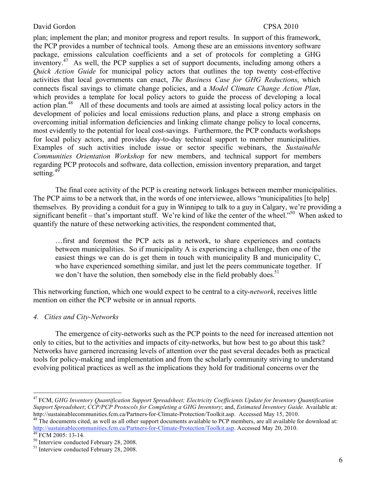plan; implement the plan; and monitor progress and report results. In support of this framework, the PCP provides a number of technical tools. Among these are an emissions inventory software package, emissions calculation coefficients and a set of protocols for completing a GHG inventory.<sup>47</sup> As well, the PCP supplies a set of support documents, including among others a *Quick Action Guide* for municipal policy actors that outlines the top twenty cost-effective activities that local governments can enact, *The Business Case for GHG Reductions*, which connects fiscal savings to climate change policies, and a *Model Climate Change Action Plan*, which provides a template for local policy actors to guide the process of developing a local action plan.<sup>48</sup> All of these documents and tools are aimed at assisting local policy actors in the development of policies and local emissions reduction plans, and place a strong emphasis on overcoming initial information deficiencies and linking climate change policy to local concerns, most evidently to the potential for local cost-savings. Furthermore, the PCP conducts workshops for local policy actors, and provides day-to-day technical support to member municipalities. Examples of such activities include issue or sector specific webinars, the *Sustainable Communities Orientation Workshop* for new members, and technical support for members regarding PCP protocols and software, data collection, emission inventory preparation, and target setting.<sup>49</sup>

The final core activity of the PCP is creating network linkages between member municipalities. The PCP aims to be a network that, in the words of one interviewee, allows "municipalities [to help] themselves. By providing a conduit for a guy in Winnipeg to talk to a guy in Calgary, we're providing a significant benefit – that's important stuff. We're kind of like the center of the wheel."<sup>50</sup> When asked to quantify the nature of these networking activities, the respondent commented that,

…first and foremost the PCP acts as a network, to share experiences and contacts between municipalities. So if municipality A is experiencing a challenge, then one of the easiest things we can do is get them in touch with municipality B and municipality C, who have experienced something similar, and just let the peers communicate together. If we don't have the solution, then somebody else in the field probably does.<sup>51</sup>

This networking function, which one would expect to be central to a city-*network*, receives little mention on either the PCP website or in annual reports.

## *4. Cities and City-Networks*

The emergence of city-networks such as the PCP points to the need for increased attention not only to cities, but to the activities and impacts of city-networks, but how best to go about this task? Networks have garnered increasing levels of attention over the past several decades both as practical tools for policy-making and implementation and from the scholarly community striving to understand evolving political practices as well as the implications they hold for traditional concerns over the

 <sup>47</sup> FCM, *GHG Inventory Quantification Support Spreadsheet; Electricity Coefficients Update for Inventory Quantification Support Spreadsheet*; *CCP/PCP Protocols for Completing a GHG Inventory*; and, *Estimated Inventory Guide.* Available at:

http://sustainablecommunities.fcm.ca/Partners-for-Climate-Protection/Toolkit.asp. Accessed May 15, 2010.<br><sup>48</sup> The documents cited, as well as all other support documents available to PCP members, are all available for down http://sustainablecommunities.fcm.ca/Partners-for-Climate-Protection/Toolkit.asp. Accessed May 20, 2010.<br><sup>49</sup> FCM 2005: 13-14.<br><sup>50</sup> Interview conducted February 28, 2008.

<sup>&</sup>lt;sup>51</sup> Interview conducted February 28, 2008.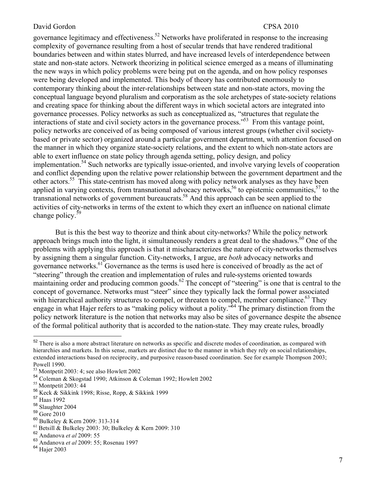governance legitimacy and effectiveness.<sup>52</sup> Networks have proliferated in response to the increasing complexity of governance resulting from a host of secular trends that have rendered traditional boundaries between and within states blurred, and have increased levels of interdependence between state and non-state actors. Network theorizing in political science emerged as a means of illuminating the new ways in which policy problems were being put on the agenda, and on how policy responses were being developed and implemented. This body of theory has contributed enormously to contemporary thinking about the inter-relationships between state and non-state actors, moving the conceptual language beyond pluralism and corporatism as the sole archetypes of state-society relations and creating space for thinking about the different ways in which societal actors are integrated into governance processes. Policy networks as such as conceptualized as, "structures that regulate the interactions of state and civil society actors in the governance process.<sup> $53$ </sup> From this vantage point, policy networks are conceived of as being composed of various interest groups (whether civil societybased or private sector) organized around a particular government department, with attention focused on the manner in which they organize state-society relations, and the extent to which non-state actors are able to exert influence on state policy through agenda setting, policy design, and policy implementation.54 Such networks are typically issue-oriented, and involve varying levels of cooperation and conflict depending upon the relative power relationship between the government department and the other actors.<sup>55</sup> This state-centrism has moved along with policy network analyses as they have been applied in varying contexts, from transnational advocacy networks,<sup>56</sup> to epistemic communities,<sup>57</sup> to the transnational networks of government bureaucrats.58 And this approach can be seen applied to the activities of city-networks in terms of the extent to which they exert an influence on national climate change policy.<sup>59</sup>

But is this the best way to theorize and think about city-networks? While the policy network approach brings much into the light, it simultaneously renders a great deal to the shadows.<sup>60</sup> One of the problems with applying this approach is that it mischaracterizes the nature of city-networks themselves by assigning them a singular function. City-networks, I argue, are *both* advocacy networks and governance networks.61 Governance as the terms is used here is conceived of broadly as the act of "steering" through the creation and implementation of rules and rule-systems oriented towards maintaining order and producing common goods.<sup>62</sup> The concept of "steering" is one that is central to the concept of governance. Networks must "steer" since they typically lack the formal power associated with hierarchical authority structures to compel, or threaten to compel, member compliance.<sup>63</sup> They engage in what Hajer refers to as "making policy without a polity."64 The primary distinction from the policy network literature is the notion that networks may also be sites of governance despite the absence of the formal political authority that is accorded to the nation-state. They may create rules, broadly

<sup>&</sup>lt;sup>52</sup> There is also a more abstract literature on networks as specific and discrete modes of coordination, as compared with hierarchies and markets. In this sense, markets are distinct due to the manner in which they rely on social relationships, extended interactions based on reciprocity, and purposive reason-based coordination. See for example Thompson 2003; Powell 1990.

<sup>53</sup> Montpetit 2003: 4; see also Howlett 2002

<sup>&</sup>lt;sup>54</sup> Coleman & Skogstad 1990; Atkinson & Coleman 1992; Howlett 2002<sup>55</sup> Montpetit 2003: 44

<sup>&</sup>lt;sup>56</sup> Keck & Sikkink 1998; Risse, Ropp, & Sikkink 1999<br><sup>57</sup> Haas 1992

<sup>&</sup>lt;sup>58</sup> Slaughter 2004<br><sup>59</sup> Gore 2010<br><sup>60</sup> Bulkeley & Kern 2009: 313-314

<sup>&</sup>lt;sup>61</sup> Betsill & Bulkeley 2003: 30; Bulkeley & Kern 2009: 310<br><sup>62</sup> Andepeys et al. 2000: 55

<sup>&</sup>lt;sup>62</sup> Andanova *et al* 2009: 55<br><sup>63</sup> Andanova *et al* 2009: 55:

<sup>63</sup> Andanova *et al* 2009: 55; Rosenau 1997

<sup>&</sup>lt;sup>64</sup> Hajer 2003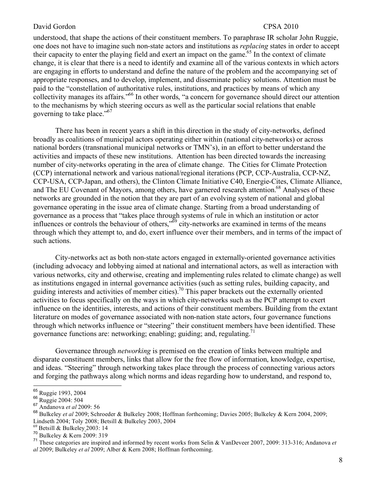understood, that shape the actions of their constituent members. To paraphrase IR scholar John Ruggie, one does not have to imagine such non-state actors and institutions as *replacing* states in order to accept their capacity to enter the playing field and exert an impact on the game.<sup>65</sup> In the context of climate change, it is clear that there is a need to identify and examine all of the various contexts in which actors are engaging in efforts to understand and define the nature of the problem and the accompanying set of appropriate responses, and to develop, implement, and disseminate policy solutions. Attention must be paid to the "constellation of authoritative rules, institutions, and practices by means of which any collectivity manages its affairs.<sup>"66</sup> In other words, "a concern for governance should direct our attention to the mechanisms by which steering occurs as well as the particular social relations that enable governing to take place."<sup>67</sup>

There has been in recent years a shift in this direction in the study of city-networks, defined broadly as coalitions of municipal actors operating either within (national city-networks) or across national borders (transnational municipal networks or TMN's), in an effort to better understand the activities and impacts of these new institutions. Attention has been directed towards the increasing number of city-networks operating in the area of climate change. The Cities for Climate Protection (CCP) international network and various national/regional iterations (PCP, CCP-Australia, CCP-NZ, CCP-USA, CCP-Japan, and others), the Clinton Climate Initiative C40, Energie-Cites, Climate Alliance, and The EU Covenant of Mayors, among others, have garnered research attention.<sup>68</sup> Analyses of these networks are grounded in the notion that they are part of an evolving system of national and global governance operating in the issue area of climate change. Starting from a broad understanding of governance as a process that "takes place through systems of rule in which an institution or actor influences or controls the behaviour of others,<sup> $569$ </sup> city-networks are examined in terms of the means through which they attempt to, and do, exert influence over their members, and in terms of the impact of such actions.

City-networks act as both non-state actors engaged in externally-oriented governance activities (including advocacy and lobbying aimed at national and international actors, as well as interaction with various networks, city and otherwise, creating and implementing rules related to climate change) as well as institutions engaged in internal governance activities (such as setting rules, building capacity, and guiding interests and activities of member cities).<sup>70</sup> This paper brackets out the externally oriented activities to focus specifically on the ways in which city-networks such as the PCP attempt to exert influence on the identities, interests, and actions of their constituent members. Building from the extant literature on modes of governance associated with non-nation state actors, four governance functions through which networks influence or "steering" their constituent members have been identified. These governance functions are: networking; enabling; guiding; and, regulating.<sup>71</sup>

Governance through *networking* is premised on the creation of links between multiple and disparate constituent members, links that allow for the free flow of information, knowledge, expertise, and ideas. "Steering" through networking takes place through the process of connecting various actors and forging the pathways along which norms and ideas regarding how to understand, and respond to,

 $^{69}$  Betsill & Bulkeley 2003: 14<br><sup>70</sup> Bulkeley & Kern 2009: 319

<sup>65</sup> Ruggie 1993, 2004 <sup>66</sup> Ruggie 2004: 504 <sup>67</sup> Andanova *et al* 2009: 56

<sup>68</sup> Bulkeley *et al* 2009; Schroeder & Bulkeley 2008; Hoffman forthcoming; Davies 2005; Bulkeley & Kern 2004, 2009; Lindseth 2004; Toly 2008; Betsill & Bulkeley 2003, 2004

<sup>&</sup>lt;sup>71</sup> These categories are inspired and informed by recent works from Selin & VanDeveer 2007, 2009: 313-316; Andanova *et al* 2009; Bulkeley *et al* 2009; Alber & Kern 2008; Hoffman forthcoming.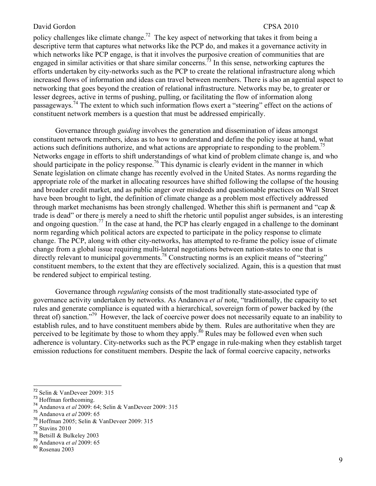policy challenges like climate change.<sup>72</sup> The key aspect of networking that takes it from being a descriptive term that captures what networks like the PCP do, and makes it a governance activity in which networks like PCP engage, is that it involves the purposive creation of communities that are engaged in similar activities or that share similar concerns.<sup>73</sup> In this sense, networking captures the efforts undertaken by city-networks such as the PCP to create the relational infrastructure along which increased flows of information and ideas can travel between members. There is also an agential aspect to networking that goes beyond the creation of relational infrastructure. Networks may be, to greater or lesser degrees, active in terms of pushing, pulling, or facilitating the flow of information along passageways.74 The extent to which such information flows exert a "steering" effect on the actions of constituent network members is a question that must be addressed empirically.

Governance through *guiding* involves the generation and dissemination of ideas amongst constituent network members, ideas as to how to understand and define the policy issue at hand, what actions such definitions authorize, and what actions are appropriate to responding to the problem.<sup>15</sup> Networks engage in efforts to shift understandings of what kind of problem climate change is, and who should participate in the policy response.<sup>76</sup> This dynamic is clearly evident in the manner in which Senate legislation on climate change has recently evolved in the United States. As norms regarding the appropriate role of the market in allocating resources have shifted following the collapse of the housing and broader credit market, and as public anger over misdeeds and questionable practices on Wall Street have been brought to light, the definition of climate change as a problem most effectively addressed through market mechanisms has been strongly challenged. Whether this shift is permanent and "cap  $\&$ trade is dead" or there is merely a need to shift the rhetoric until populist anger subsides, is an interesting and ongoing question.<sup>77</sup> In the case at hand, the PCP has clearly engaged in a challenge to the dominant norm regarding which political actors are expected to participate in the policy response to climate change. The PCP, along with other city-networks, has attempted to re-frame the policy issue of climate change from a global issue requiring multi-lateral negotiations between nation-states to one that is directly relevant to municipal governments.<sup>78</sup> Constructing norms is an explicit means of "steering" constituent members, to the extent that they are effectively socialized. Again, this is a question that must be rendered subject to empirical testing.

Governance through *regulating* consists of the most traditionally state-associated type of governance activity undertaken by networks. As Andanova *et al* note, "traditionally, the capacity to set rules and generate compliance is equated with a hierarchical, sovereign form of power backed by (the threat of) sanction.<sup>79</sup> However, the lack of coercive power does not necessarily equate to an inability to establish rules, and to have constituent members abide by them. Rules are authoritative when they are perceived to be legitimate by those to whom they apply.<sup>80</sup> Rules may be followed even when such adherence is voluntary. City-networks such as the PCP engage in rule-making when they establish target emission reductions for constituent members. Despite the lack of formal coercive capacity, networks

<sup>&</sup>lt;sup>72</sup> Selin & VanDeveer 2009: 315<br><sup>73</sup> Hoffman forthcoming.

<sup>74</sup> Andanova *et al* 2009: 64; Selin & VanDeveer 2009: 315

<sup>75</sup> Andanova *et al* 2009: 65

<sup>&</sup>lt;sup>76</sup> Hoffman 2005; Selin & VanDeveer 2009: 315

 $\frac{77}{78}$  Stavins 2010<br> $\frac{78}{8}$  Betsill & Bulkeley 2003

<sup>&</sup>lt;sup>79</sup> Andanova *et al* 2009: 65

<sup>80</sup> Rosenau 2003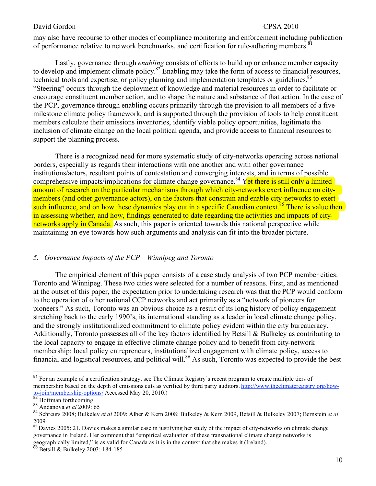may also have recourse to other modes of compliance monitoring and enforcement including publication of performance relative to network benchmarks, and certification for rule-adhering members.<sup>8</sup>

Lastly, governance through *enabling* consists of efforts to build up or enhance member capacity to develop and implement climate policy.82 Enabling may take the form of access to financial resources, technical tools and expertise, or policy planning and implementation templates or guidelines.<sup>83</sup> "Steering" occurs through the deployment of knowledge and material resources in order to facilitate or encourage constituent member action, and to shape the nature and substance of that action. In the case of the PCP, governance through enabling occurs primarily through the provision to all members of a fivemilestone climate policy framework, and is supported through the provision of tools to help constituent members calculate their emissions inventories, identify viable policy opportunities, legitimate the inclusion of climate change on the local political agenda, and provide access to financial resources to support the planning process.

There is a recognized need for more systematic study of city-networks operating across national borders, especially as regards their interactions with one another and with other governance institutions/actors, resultant points of contestation and converging interests, and in terms of possible comprehensive impacts/implications for climate change governance.<sup>84</sup> Yet there is still only a limited amount of research on the particular mechanisms through which city-networks exert influence on citymembers (and other governance actors), on the factors that constrain and enable city-networks to exert such influence, and on how these dynamics play out in a specific Canadian context.<sup>85</sup> There is value then in assessing whether, and how, findings generated to date regarding the activities and impacts of citynetworks apply in Canada. As such, this paper is oriented towards this national perspective while maintaining an eye towards how such arguments and analysis can fit into the broader picture.

## *5. Governance Impacts of the PCP – Winnipeg and Toronto*

The empirical element of this paper consists of a case study analysis of two PCP member cities: Toronto and Winnipeg. These two cities were selected for a number of reasons. First, and as mentioned at the outset of this paper, the expectation prior to undertaking research was that the PCP would conform to the operation of other national CCP networks and act primarily as a "network of pioneers for pioneers." As such, Toronto was an obvious choice as a result of its long history of policy engagement stretching back to the early 1990's, its international standing as a leader in local climate change policy, and the strongly institutionalized commitment to climate policy evident within the city bureaucracy. Additionally, Toronto possesses all of the key factors identified by Betsill & Bulkeley as contributing to the local capacity to engage in effective climate change policy and to benefit from city-network membership: local policy entrepreneurs, institutionalized engagement with climate policy, access to financial and logistical resources, and political will.<sup>86</sup> As such, Toronto was expected to provide the best

<sup>&</sup>lt;sup>81</sup> For an example of a certification strategy, see The Climate Registry's recent program to create multiple tiers of membership based on the depth of emissions cuts as verified by third party auditors. http://www.theclimateregistry.org/howto-join/membership-options/ Accessed May 20, 2010.) <sup>82</sup> Hoffman forthcoming <sup>83</sup> Andanova *et al* 2009: 65

<sup>84</sup> Schreurs 2008; Bulkeley *et al* 2009; Alber & Kern 2008; Bulkeley & Kern 2009, Betsill & Bulkeley 2007; Bernstein *et al* 2009

 $85$  Davies 2005: 21. Davies makes a similar case in justifying her study of the impact of city-networks on climate change governance in Ireland. Her comment that "empirical evaluation of these transnational climate change networks is geographically limited," is as valid for Canada as it is in the context that she makes it (Ireland).

 $86$  Betsill & Bulkeley 2003: 184-185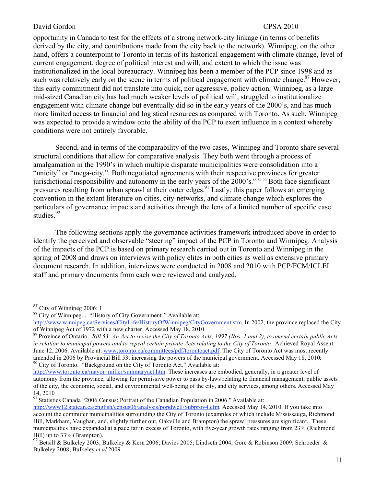opportunity in Canada to test for the effects of a strong network-city linkage (in terms of benefits derived by the city, and contributions made from the city back to the network). Winnipeg, on the other hand, offers a counterpoint to Toronto in terms of its historical engagement with climate change, level of current engagement, degree of political interest and will, and extent to which the issue was institutionalized in the local bureaucracy. Winnipeg has been a member of the PCP since 1998 and as such was relatively early on the scene in terms of political engagement with climate change.<sup>87</sup> However, this early commitment did not translate into quick, nor aggressive, policy action. Winnipeg, as a large mid-sized Canadian city has had much weaker levels of political will, struggled to institutionalize engagement with climate change but eventually did so in the early years of the 2000's, and has much more limited access to financial and logistical resources as compared with Toronto. As such, Winnipeg was expected to provide a window onto the ability of the PCP to exert influence in a context whereby conditions were not entirely favorable.

Second, and in terms of the comparability of the two cases, Winnipeg and Toronto share several structural conditions that allow for comparative analysis. They both went through a process of amalgamation in the 1990's in which multiple disparate municipalities were consolidation into a "unicity" or "mega-city.". Both negotiated agreements with their respective provinces for greater jurisdictional responsibility and autonomy in the early years of the 2000's.<sup>88 89 90</sup> Both face significant pressures resulting from urban sprawl at their outer edges.<sup>91</sup> Lastly, this paper follows an emerging convention in the extant literature on cities, city-networks, and climate change which explores the particulars of governance impacts and activities through the lens of a limited number of specific case studies.<sup>92</sup>

The following sections apply the governance activities framework introduced above in order to identify the perceived and observable "steering" impact of the PCP in Toronto and Winnipeg. Analysis of the impacts of the PCP is based on primary research carried out in Toronto and Winnipeg in the spring of 2008 and draws on interviews with policy elites in both cities as well as extensive primary document research. In addition, interviews were conducted in 2008 and 2010 with PCP/FCM/ICLEI staff and primary documents from each were reviewed and analyzed.

 $91$  Statistics Canada "2006 Census: Portrait of the Canadian Population in 2006." Available at:

<sup>&</sup>lt;sup>87</sup> City of Winnipeg 2006: 1<br><sup>88</sup> City of Winnipeg. . "History of City Government." Available at:

http://www.winnipeg.ca/Services/CityLife/HistoryOfWinnipeg/CityGovernment.stm. In 2002, the province replaced the City of Winnipeg Act of 1972 with a new charter. Accessed May 18, 2010

<sup>89</sup> Province of Ontario. *Bill 53: An Act to revise the City of Toronto Acts, 1997 (Nos. 1 and 2), to amend certain public Acts in relation to municipal powers and to repeal certain private Acts relating to the City of Toronto*. Achieved Royal Assent June 12, 2006. Available at: www.toronto.ca/committees/pdf/torontoact.pdf. The City of Toronto Act was most recently amended in 2006 by Provincial Bill 53, increasing the powers of the municipal government. Accessed May 18, 2010: <sup>90</sup> City of Toronto. "Background on the City of Toronto Act." Available at:

http://www.toronto.ca/mayor\_miller/summaryact.htm. These increases are embodied, generally, in a greater level of autonomy from the province, allowing for permissive power to pass by-laws relating to financial management, public assets of the city, the economic, social, and environmental well-being of the city, and city services, among others. Accessed May 14, 2010

http://www12.statcan.ca/english/census06/analysis/popdwell/Subprov4.cfm. Accessed May 14, 2010. If you take into account the commuter municipalities surrounding the City of Toronto (examples of which include Mississauga, Richmond Hill, Markham, Vaughan, and, slightly further out, Oakville and Brampton) the sprawl pressures are significant. These municipalities have expanded at a pace far in excess of Toronto, with five-year growth rates ranging from 23% (Richmond Hill) up to 33% (Brampton).

<sup>&</sup>lt;sup>92</sup> Betsill & Bulkeley 2003; Bulkeley & Kern 2006; Davies 2005; Lindseth 2004; Gore & Robinson 2009; Schroeder & Bulkeley 2008; Bulkeley *et al* 2009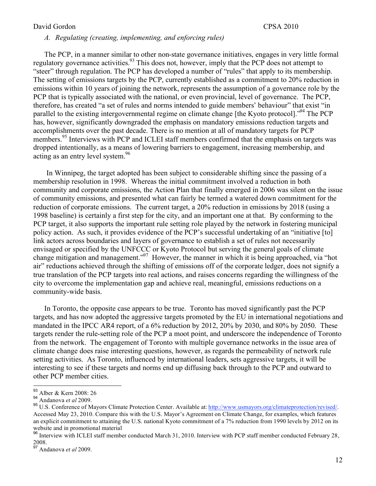# *A. Regulating (creating, implementing, and enforcing rules)*

The PCP, in a manner similar to other non-state governance initiatives, engages in very little formal regulatory governance activities.<sup>93</sup> This does not, however, imply that the PCP does not attempt to "steer" through regulation. The PCP has developed a number of "rules" that apply to its membership. The setting of emissions targets by the PCP, currently established as a commitment to 20% reduction in emissions within 10 years of joining the network, represents the assumption of a governance role by the PCP that is typically associated with the national, or even provincial, level of governance. The PCP, therefore, has created "a set of rules and norms intended to guide members' behaviour" that exist "in parallel to the existing intergovernmental regime on climate change [the Kyoto protocol].<sup>"94</sup> The PCP has, however, significantly downgraded the emphasis on mandatory emissions reduction targets and accomplishments over the past decade. There is no mention at all of mandatory targets for PCP members.<sup>95</sup> Interviews with PCP and ICLEI staff members confirmed that the emphasis on targets was dropped intentionally, as a means of lowering barriers to engagement, increasing membership, and acting as an entry level system.<sup>96</sup>

In Winnipeg, the target adopted has been subject to considerable shifting since the passing of a membership resolution in 1998. Whereas the initial commitment involved a reduction in both community and corporate emissions, the Action Plan that finally emerged in 2006 was silent on the issue of community emissions, and presented what can fairly be termed a watered down commitment for the reduction of corporate emissions. The current target, a 20% reduction in emissions by 2018 (using a 1998 baseline) is certainly a first step for the city, and an important one at that. By conforming to the PCP target, it also supports the important rule setting role played by the network in fostering municipal policy action. As such, it provides evidence of the PCP's successful undertaking of an "initiative [to] link actors across boundaries and layers of governance to establish a set of rules not necessarily envisaged or specified by the UNFCCC or Kyoto Protocol but serving the general goals of climate change mitigation and management."97 However, the manner in which it is being approached, via "hot air" reductions achieved through the shifting of emissions off of the corporate ledger, does not signify a true translation of the PCP targets into real actions, and raises concerns regarding the willingness of the city to overcome the implementation gap and achieve real, meaningful, emissions reductions on a community-wide basis.

In Toronto, the opposite case appears to be true. Toronto has moved significantly past the PCP targets, and has now adopted the aggressive targets promoted by the EU in international negotiations and mandated in the IPCC AR4 report, of a 6% reduction by 2012, 20% by 2030, and 80% by 2050. These targets render the rule-setting role of the PCP a moot point, and underscore the independence of Toronto from the network. The engagement of Toronto with multiple governance networks in the issue area of climate change does raise interesting questions, however, as regards the permeability of network rule setting activities. As Toronto, influenced by international leaders, sets aggressive targets, it will be interesting to see if these targets and norms end up diffusing back through to the PCP and outward to other PCP member cities.

<sup>93</sup> Alber & Kern 2008: 26

<sup>94</sup> Andanova *et al* 2009.

<sup>95</sup> U.S. Conference of Mayors Climate Protection Center. Available at: http://www.usmayors.org/climateprotection/revised/. Accessed May 23, 2010. Compare this with the U.S. Mayor's Agreement on Climate Change, for examples, which features an explicit commitment to attaining the U.S. national Kyoto commitment of a 7% reduction from 1990 levels by 2012 on its website and in promotional material

<sup>&</sup>lt;sup>96</sup> Interview with ICLEI staff member conducted March 31, 2010. Interview with PCP staff member conducted February 28, 2008.

<sup>97</sup> Andanova *et al* 2009.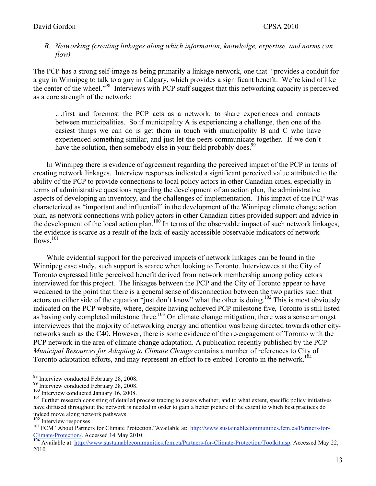# *B. Networking (creating linkages along which information, knowledge, expertise, and norms can flow)*

The PCP has a strong self-image as being primarily a linkage network, one that "provides a conduit for a guy in Winnipeg to talk to a guy in Calgary, which provides a significant benefit. We're kind of like the center of the wheel."98 Interviews with PCP staff suggest that this networking capacity is perceived as a core strength of the network:

…first and foremost the PCP acts as a network, to share experiences and contacts between municipalities. So if municipality A is experiencing a challenge, then one of the easiest things we can do is get them in touch with municipality B and C who have experienced something similar, and just let the peers communicate together. If we don't have the solution, then somebody else in your field probably does.<sup>99</sup>

In Winnipeg there is evidence of agreement regarding the perceived impact of the PCP in terms of creating network linkages. Interview responses indicated a significant perceived value attributed to the ability of the PCP to provide connections to local policy actors in other Canadian cities, especially in terms of administrative questions regarding the development of an action plan, the administrative aspects of developing an inventory, and the challenges of implementation. This impact of the PCP was characterized as "important and influential" in the development of the Winnipeg climate change action plan, as network connections with policy actors in other Canadian cities provided support and advice in the development of the local action plan.<sup>100</sup> In terms of the observable impact of such network linkages, the evidence is scarce as a result of the lack of easily accessible observable indicators of network flows.<sup>101</sup>

While evidential support for the perceived impacts of network linkages can be found in the Winnipeg case study, such support is scarce when looking to Toronto. Interviewees at the City of Toronto expressed little perceived benefit derived from network membership among policy actors interviewed for this project. The linkages between the PCP and the City of Toronto appear to have weakened to the point that there is a general sense of disconnection between the two parties such that actors on either side of the equation "just don't know" what the other is doing.<sup>102</sup> This is most obviously indicated on the PCP website, where, despite having achieved PCP milestone five, Toronto is still listed as having only completed milestone three.<sup>103</sup> On climate change mitigation, there was a sense amongst interviewees that the majority of networking energy and attention was being directed towards other citynetworks such as the C40. However, there is some evidence of the re-engagement of Toronto with the PCP network in the area of climate change adaptation. A publication recently published by the PCP *Municipal Resources for Adapting to Climate Change* contains a number of references to City of Toronto adaptation efforts, and may represent an effort to re-embed Toronto in the network.<sup>104</sup>

<sup>&</sup>lt;sup>98</sup> Interview conducted February 28, 2008.<br><sup>99</sup> Interview conducted February 28, 2008.<br><sup>100</sup> Interview conducted January 16, 2008.<br><sup>101</sup> Further research consisting of detailed process tracing to assess whether, and to wh have diffused throughout the network is needed in order to gain a better picture of the extent to which best practices do

indeed move along network pathways.<br>
<sup>102</sup> Interview responses<br>
<sup>103</sup> FCM "About Partners for Climate Protection."Available at: http://www.sustainablecommunities.fcm.ca/Partners-for-<br>
Climate-Protection/. Accessed 14 May 2

<sup>&</sup>lt;sup>104</sup> Available at: http://www.sustainablecommunities.fcm.ca/Partners-for-Climate-Protection/Toolkit.asp. Accessed May 22, 2010.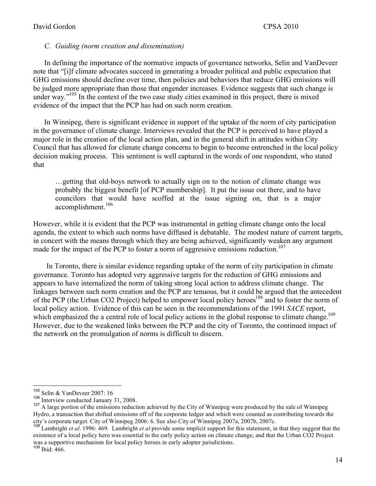## *C. Guiding (norm creation and dissemination)*

In defining the importance of the normative impacts of governance networks, Selin and VanDeveer note that "[i]f climate advocates succeed in generating a broader political and public expectation that GHG emissions should decline over time, then policies and behaviors that reduce GHG emissions will be judged more appropriate than those that engender increases. Evidence suggests that such change is under way."<sup>105</sup> In the context of the two case study cities examined in this project, there is mixed evidence of the impact that the PCP has had on such norm creation.

In Winnipeg, there is significant evidence in support of the uptake of the norm of city participation in the governance of climate change. Interviews revealed that the PCP is perceived to have played a major role in the creation of the local action plan, and in the general shift in attitudes within City Council that has allowed for climate change concerns to begin to become entrenched in the local policy decision making process. This sentiment is well captured in the words of one respondent, who stated that

…getting that old-boys network to actually sign on to the notion of climate change was probably the biggest benefit [of PCP membership]. It put the issue out there, and to have councilors that would have scoffed at the issue signing on, that is a major accomplishment.<sup>106</sup>

However, while it is evident that the PCP was instrumental in getting climate change onto the local agenda, the extent to which such norms have diffused is debatable. The modest nature of current targets, in concert with the means through which they are being achieved, significantly weaken any argument made for the impact of the PCP to foster a norm of aggressive emissions reduction.<sup>107</sup>

In Toronto, there is similar evidence regarding uptake of the norm of city participation in climate governance. Toronto has adopted very aggressive targets for the reduction of GHG emissions and appears to have internalized the norm of taking strong local action to address climate change. The linkages between such norm creation and the PCP are tenuous, but it could be argued that the antecedent of the PCP (the Urban CO2 Project) helped to empower local policy heroes<sup>108</sup> and to foster the norm of local policy action. Evidence of this can be seen in the recommendations of the 1991 *SACE* report, which emphasized the a central role of local policy actions in the global response to climate change.<sup>109</sup> However, due to the weakened links between the PCP and the city of Toronto, the continued impact of the network on the promulgation of norms is difficult to discern.

<sup>&</sup>lt;sup>105</sup> Selin & VanDeveer 2007: 16<br><sup>106</sup> Interview conducted January 31, 2008.

 $107$  A large portion of the emissions reduction achieved by the City of Winnipeg were produced by the sale of Winnipeg Hydro, a transaction that shifted emissions off of the corporate ledger and which were counted as contributing towards the city's corporate target. City of Winnipeg 2006: 6. See also City of Winnipeg 2007a, 2007b, 2007c.

<sup>&</sup>lt;sup>108</sup> Lambright *et al.* 1996: 469. Lambright *et al* provide some implicit support for this statement, in that they suggest that the existence of a local policy hero was essential to the early policy action on climate change, and that the Urban CO2 Project was a supportive mechanism for local policy heroes in early adopter jurisdictions.

<sup>109</sup> Ibid: 466.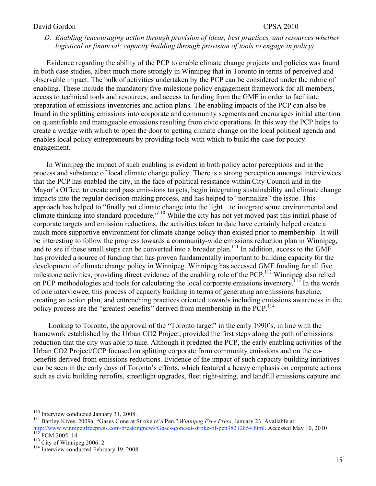# *D. Enabling (encouraging action through provision of ideas, best practices, and resources whether logistical or financial; capacity building through provision of tools to engage in policy)*

Evidence regarding the ability of the PCP to enable climate change projects and policies was found in both case studies, albeit much more strongly in Winnipeg that in Toronto in terms of perceived and observable impact. The bulk of activities undertaken by the PCP can be considered under the rubric of enabling. These include the mandatory five-milestone policy engagement framework for all members, access to technical tools and resources, and access to funding from the GMF in order to facilitate preparation of emissions inventories and action plans. The enabling impacts of the PCP can also be found in the splitting emissions into corporate and community segments and encourages initial attention on quantifiable and manageable emissions resulting from civic operations. In this way the PCP helps to create a wedge with which to open the door to getting climate change on the local political agenda and enables local policy entrepreneurs by providing tools with which to build the case for policy engagement.

In Winnipeg the impact of such enabling is evident in both policy actor perceptions and in the process and substance of local climate change policy. There is a strong perception amongst interviewees that the PCP has enabled the city, in the face of political resistance within City Council and in the Mayor's Office, to create and pass emissions targets, begin integrating sustainability and climate change impacts into the regular decision-making process, and has helped to "normalize" the issue. This approach has helped to "finally put climate change into the light…to integrate some environmental and climate thinking into standard procedure."110 While the city has not yet moved past this initial phase of corporate targets and emission reductions, the activities taken to date have certainly helped create a much more supportive environment for climate change policy than existed prior to membership. It will be interesting to follow the progress towards a community-wide emissions reduction plan in Winnipeg, and to see if these small steps can be converted into a broader plan.<sup>111</sup> In addition, access to the GMF has provided a source of funding that has proven fundamentally important to building capacity for the development of climate change policy in Winnipeg. Winnipeg has accessed GMF funding for all five milestone activities, providing direct evidence of the enabling role of the PCP.<sup>112</sup> Winnipeg also relied on PCP methodologies and tools for calculating the local corporate emissions inventory.<sup>113</sup> In the words of one interviewee, this process of capacity building in terms of generating an emissions baseline, creating an action plan, and entrenching practices oriented towards including emissions awareness in the policy process are the "greatest benefits" derived from membership in the PCP.<sup>114</sup>

 Looking to Toronto, the approval of the "Toronto target" in the early 1990's, in line with the framework established by the Urban CO2 Project, provided the first steps along the path of emissions reduction that the city was able to take. Although it predated the PCP, the early enabling activities of the Urban CO2 Project/CCP focused on splitting corporate from community emissions and on the cobenefits derived from emissions reductions. Evidence of the impact of such capacity-building initiatives can be seen in the early days of Toronto's efforts, which featured a heavy emphasis on corporate actions such as civic building retrofits, streetlight upgrades, fleet right-sizing, and landfill emissions capture and

<sup>&</sup>lt;sup>110</sup> Interview conducted January 31, 2008.<br><sup>111</sup> Bartley Kives. 2009a. "Gases Gone at Stroke of a Pen," *Winnipeg Free Press*, January 23. Available at: http://www.winnipegfreepress.com/breakingnews/Gases-gone-at-stroke-of-pen38212854.html. Accessed May 10, 2010<br><sup>112</sup> FCM 2005: 14.<br><sup>113</sup> City of Winnipeg 2006: 2

<sup>&</sup>lt;sup>114</sup> Interview conducted February 19, 2008.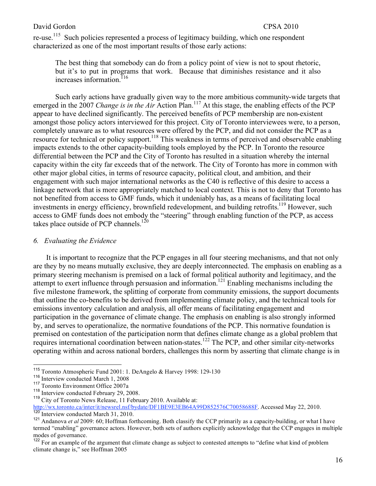re-use.<sup>115</sup> Such policies represented a process of legitimacy building, which one respondent characterized as one of the most important results of those early actions:

The best thing that somebody can do from a policy point of view is not to spout rhetoric, but it's to put in programs that work. Because that diminishes resistance and it also increases information.<sup>116</sup>

Such early actions have gradually given way to the more ambitious community-wide targets that emerged in the 2007 *Change is in the Air* Action Plan.<sup>117</sup> At this stage, the enabling effects of the PCP appear to have declined significantly. The perceived benefits of PCP membership are non-existent amongst those policy actors interviewed for this project. City of Toronto interviewees were, to a person, completely unaware as to what resources were offered by the PCP, and did not consider the PCP as a resource for technical or policy support.<sup>118</sup> This weakness in terms of perceived and observable enabling impacts extends to the other capacity-building tools employed by the PCP. In Toronto the resource differential between the PCP and the City of Toronto has resulted in a situation whereby the internal capacity within the city far exceeds that of the network. The City of Toronto has more in common with other major global cities, in terms of resource capacity, political clout, and ambition, and their engagement with such major international networks as the C40 is reflective of this desire to access a linkage network that is more appropriately matched to local context. This is not to deny that Toronto has not benefited from access to GMF funds, which it undeniably has, as a means of facilitating local investments in energy efficiency, brownfield redevelopment, and building retrofits.<sup>119</sup> However, such access to GMF funds does not embody the "steering" through enabling function of the PCP, as access takes place outside of PCP channels.<sup>120</sup>

# *6. Evaluating the Evidence*

It is important to recognize that the PCP engages in all four steering mechanisms, and that not only are they by no means mutually exclusive, they are deeply interconnected. The emphasis on enabling as a primary steering mechanism is premised on a lack of formal political authority and legitimacy, and the attempt to exert influence through persuasion and information.<sup>121</sup> Enabling mechanisms including the five milestone framework, the splitting of corporate from community emissions, the support documents that outline the co-benefits to be derived from implementing climate policy, and the technical tools for emissions inventory calculation and analysis, all offer means of facilitating engagement and participation in the governance of climate change. The emphasis on enabling is also strongly informed by, and serves to operationalize, the normative foundations of the PCP. This normative foundation is premised on contestation of the participation norm that defines climate change as a global problem that requires international coordination between nation-states.122 The PCP, and other similar city-networks operating within and across national borders, challenges this norm by asserting that climate change is in

<sup>115</sup> Toronto Atmospheric Fund 2001: 1. DeAngelo & Harvey 1998: 129-130

<sup>&</sup>lt;sup>116</sup> Interview conducted March 1, 2008

 $117$  Toronto Environment Office 2007a<br> $118$  Interview conducted February 29, 2008.

<sup>&</sup>lt;sup>119</sup> City of Toronto News Release, 11 February 2010. Available at:

http://wx.toronto.ca/inter/it/newsrel.nsf/bydate/DF1BE9E3EB64A99D852576C70058688F. Accessed May 22, 2010.

<sup>121</sup> Andanova *et al* 2009: 60; Hoffman forthcoming. Both classify the CCP primarily as a capacity-building, or what I have termed "enabling" governance actors. However, both sets of authors explicitly acknowledge that the CCP engages in multiple modes of governance.

<sup>&</sup>lt;sup>122</sup> For an example of the argument that climate change as subject to contested attempts to "define what kind of problem" climate change is," see Hoffman 2005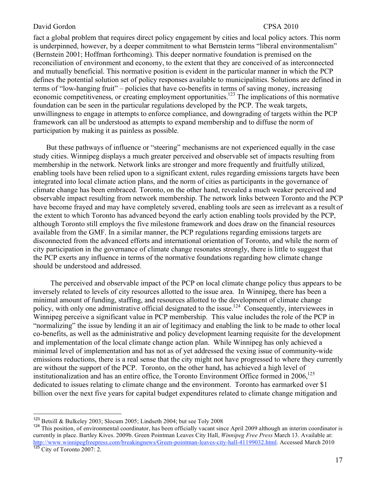fact a global problem that requires direct policy engagement by cities and local policy actors. This norm is underpinned, however, by a deeper commitment to what Bernstein terms "liberal environmentalism" (Bernstein 2001; Hoffman forthcoming). This deeper normative foundation is premised on the reconciliation of environment and economy, to the extent that they are conceived of as interconnected and mutually beneficial. This normative position is evident in the particular manner in which the PCP defines the potential solution set of policy responses available to municipalities. Solutions are defined in terms of "low-hanging fruit" – policies that have co-benefits in terms of saving money, increasing economic competitiveness, or creating employment opportunities.<sup>123</sup> The implications of this normative foundation can be seen in the particular regulations developed by the PCP. The weak targets, unwillingness to engage in attempts to enforce compliance, and downgrading of targets within the PCP framework can all be understood as attempts to expand membership and to diffuse the norm of participation by making it as painless as possible.

But these pathways of influence or "steering" mechanisms are not experienced equally in the case study cities. Winnipeg displays a much greater perceived and observable set of impacts resulting from membership in the network. Network links are stronger and more frequently and fruitfully utilized, enabling tools have been relied upon to a significant extent, rules regarding emissions targets have been integrated into local climate action plans, and the norm of cities as participants in the governance of climate change has been embraced. Toronto, on the other hand, revealed a much weaker perceived and observable impact resulting from network membership. The network links between Toronto and the PCP have become frayed and may have completely severed, enabling tools are seen as irrelevant as a result of the extent to which Toronto has advanced beyond the early action enabling tools provided by the PCP, although Toronto still employs the five milestone framework and does draw on the financial resources available from the GMF. In a similar manner, the PCP regulations regarding emissions targets are disconnected from the advanced efforts and international orientation of Toronto, and while the norm of city participation in the governance of climate change resonates strongly, there is little to suggest that the PCP exerts any influence in terms of the normative foundations regarding how climate change should be understood and addressed.

The perceived and observable impact of the PCP on local climate change policy thus appears to be inversely related to levels of city resources allotted to the issue area. In Winnipeg, there has been a minimal amount of funding, staffing, and resources allotted to the development of climate change policy, with only one administrative official designated to the issue.<sup>124</sup> Consequently, interviewees in Winnipeg perceive a significant value in PCP membership. This value includes the role of the PCP in "normalizing" the issue by lending it an air of legitimacy and enabling the link to be made to other local co-benefits, as well as the administrative and policy development learning requisite for the development and implementation of the local climate change action plan. While Winnipeg has only achieved a minimal level of implementation and has not as of yet addressed the vexing issue of community-wide emissions reductions, there is a real sense that the city might not have progressed to where they currently are without the support of the PCP. Toronto, on the other hand, has achieved a high level of institutionalization and has an entire office, the Toronto Environment Office formed in  $2006$ ,<sup>125</sup> dedicated to issues relating to climate change and the environment. Toronto has earmarked over \$1 billion over the next five years for capital budget expenditures related to climate change mitigation and

<sup>&</sup>lt;sup>123</sup> Betsill & Bulkeley 2003; Slocum 2005; Lindseth 2004; but see Toly 2008<br><sup>124</sup> This position, of environmental coordinator, has been officially vacant since April 2009 although an interim coordinator is currently in place. Bartley Kives. 2009b. Green Pointman Leaves City Hall, *Winnipeg Free Press* March 13. Available at: http://www.winnipegfreepress.com/breakingnews/Green-pointman-leaves-city-hall-41199032.html. Accessed March 2010 <u>125</u> City of Toronto 2007: 2.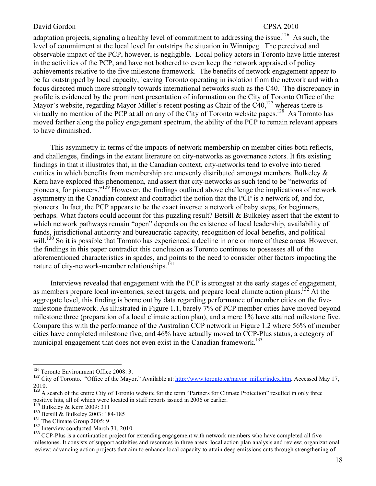adaptation projects, signaling a healthy level of commitment to addressing the issue.<sup>126</sup> As such, the level of commitment at the local level far outstrips the situation in Winnipeg. The perceived and observable impact of the PCP, however, is negligible. Local policy actors in Toronto have little interest in the activities of the PCP, and have not bothered to even keep the network appraised of policy achievements relative to the five milestone framework. The benefits of network engagement appear to be far outstripped by local capacity, leaving Toronto operating in isolation from the network and with a focus directed much more strongly towards international networks such as the C40. The discrepancy in profile is evidenced by the prominent presentation of information on the City of Toronto Office of the Mayor's website, regarding Mayor Miller's recent posting as Chair of the  $C40$ ,<sup>127</sup> whereas there is virtually no mention of the PCP at all on any of the City of Toronto website pages.<sup>128</sup> As Toronto has moved farther along the policy engagement spectrum, the ability of the PCP to remain relevant appears to have diminished.

This asymmetry in terms of the impacts of network membership on member cities both reflects, and challenges, findings in the extant literature on city-networks as governance actors. It fits existing findings in that it illustrates that, in the Canadian context, city-networks tend to evolve into tiered entities in which benefits from membership are unevenly distributed amongst members. Bulkeley & Kern have explored this phenomenon, and assert that city-networks as such tend to be "networks of pioneers, for pioneers."129 However, the findings outlined above challenge the implications of network asymmetry in the Canadian context and contradict the notion that the PCP is a network of, and for, pioneers. In fact, the PCP appears to be the exact inverse: a network of baby steps, for beginners, perhaps. What factors could account for this puzzling result? Betsill & Bulkeley assert that the extent to which network pathways remain "open" depends on the existence of local leadership, availability of funds, jurisdictional authority and bureaucratic capacity, recognition of local benefits, and political will.<sup>130</sup> So it is possible that Toronto has experienced a decline in one or more of these areas. However, the findings in this paper contradict this conclusion as Toronto continues to possesses all of the aforementioned characteristics in spades, and points to the need to consider other factors impacting the nature of city-network-member relationships.<sup>131</sup>

Interviews revealed that engagement with the PCP is strongest at the early stages of engagement, as members prepare local inventories, select targets, and prepare local climate action plans.<sup>132</sup> At the aggregate level, this finding is borne out by data regarding performance of member cities on the fivemilestone framework. As illustrated in Figure 1.1, barely 7% of PCP member cities have moved beyond milestone three (preparation of a local climate action plan), and a mere 1% have attained milestone five. Compare this with the performance of the Australian CCP network in Figure 1.2 where 56% of member cities have completed milestone five, and 46% have actually moved to CCP-Plus status, a category of municipal engagement that does not even exist in the Canadian framework.<sup>133</sup>

 $132$  Interview conducted March 31, 2010.

<sup>&</sup>lt;sup>126</sup> Toronto Environment Office 2008: 3.

<sup>&</sup>lt;sup>127</sup> City of Toronto. "Office of the Mayor." Available at: <u>http://www.toronto.ca/mayor\_miller/index.htm</u>. Accessed May 17, 2010.

<sup>&</sup>lt;sup>128</sup> A search of the entire City of Toronto website for the term "Partners for Climate Protection" resulted in only three positive hits, all of which were located in staff reports issued in 2006 or earlier.

<sup>&</sup>lt;sup>130</sup> Betsill  $\&$  Bulkeley 2003: 184-185<br><sup>131</sup> The Climate Group 2005: 9

<sup>&</sup>lt;sup>133</sup> CCP-Plus is a continuation project for extending engagement with network members who have completed all five milestones. It consists of support activities and resources in three areas: local action plan analysis and review; organizational review; advancing action projects that aim to enhance local capacity to attain deep emissions cuts through strengthening of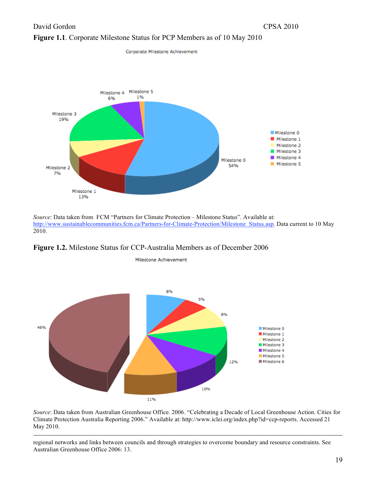

Corporate Milestone Achievement



*Source*: Data taken from FCM "Partners for Climate Protection – Milestone Status". Available at: http://www.sustainablecommunities.fcm.ca/Partners-for-Climate-Protection/Milestone\_Status.asp. Data current to 10 May 2010.

**Figure 1.2.** Milestone Status for CCP-Australia Members as of December 2006



Milestone Achievement

*Source*: Data taken from Australian Greenhouse Office. 2006. "Celebrating a Decade of Local Greenhouse Action. Cities for Climate Protection Australia Reporting 2006." Available at: http://www.iclei.org/index.php?id=ccp-reports. Accessed 21 May 2010.

 regional networks and links between councils and through strategies to overcome boundary and resource constraints. See Australian Greenhouse Office 2006: 13.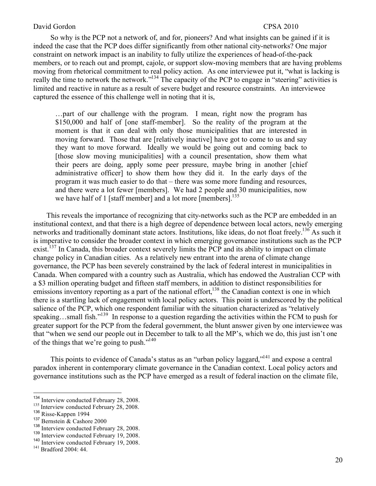So why is the PCP not a network of, and for, pioneers? And what insights can be gained if it is indeed the case that the PCP does differ significantly from other national city-networks? One major constraint on network impact is an inability to fully utilize the experiences of head-of-the-pack members, or to reach out and prompt, cajole, or support slow-moving members that are having problems moving from rhetorical commitment to real policy action. As one interviewee put it, "what is lacking is really the time to network the network."<sup>134</sup> The capacity of the PCP to engage in "steering" activities is limited and reactive in nature as a result of severe budget and resource constraints. An interviewee captured the essence of this challenge well in noting that it is,

…part of our challenge with the program. I mean, right now the program has \$150,000 and half of [one staff-member]. So the reality of the program at the moment is that it can deal with only those municipalities that are interested in moving forward. Those that are [relatively inactive] have got to come to us and say they want to move forward. Ideally we would be going out and coming back to [those slow moving municipalities] with a council presentation, show them what their peers are doing, apply some peer pressure, maybe bring in another [chief administrative officer] to show them how they did it. In the early days of the program it was much easier to do that – there was some more funding and resources, and there were a lot fewer [members]. We had 2 people and 30 municipalities, now we have half of 1 [staff member] and a lot more [members]. $^{135}$ 

This reveals the importance of recognizing that city-networks such as the PCP are embedded in an institutional context, and that there is a high degree of dependence between local actors, newly emerging networks and traditionally dominant state actors. Institutions, like ideas, do not float freely.<sup>136</sup> As such it is imperative to consider the broader context in which emerging governance institutions such as the PCP exist.<sup>137</sup> In Canada, this broader context severely limits the PCP and its ability to impact on climate change policy in Canadian cities. As a relatively new entrant into the arena of climate change governance, the PCP has been severely constrained by the lack of federal interest in municipalities in Canada. When compared with a country such as Australia, which has endowed the Australian CCP with a \$3 million operating budget and fifteen staff members, in addition to distinct responsibilities for emissions inventory reporting as a part of the national effort, $138$  the Canadian context is one in which there is a startling lack of engagement with local policy actors. This point is underscored by the political salience of the PCP, which one respondent familiar with the situation characterized as "relatively speaking…small fish."<sup>139</sup> In response to a question regarding the activities within the FCM to push for greater support for the PCP from the federal government, the blunt answer given by one interviewee was that "when we send our people out in December to talk to all the MP's, which we do, this just isn't one of the things that we're going to push." $140$ 

This points to evidence of Canada's status as an "urban policy laggard,"<sup>141</sup> and expose a central paradox inherent in contemporary climate governance in the Canadian context. Local policy actors and governance institutions such as the PCP have emerged as a result of federal inaction on the climate file,

<sup>&</sup>lt;sup>134</sup> Interview conducted February 28, 2008.<br><sup>135</sup> Interview conducted February 28, 2008.<br><sup>136</sup> Risse-Kappen 1994

<sup>&</sup>lt;sup>137</sup> Bernstein & Cashore 2000<br><sup>138</sup> Interview conducted February 28, 2008.

<sup>&</sup>lt;sup>139</sup> Interview conducted February 19, 2008.<br><sup>140</sup> Interview conducted February 19, 2008.<br><sup>141</sup> Bradford 2004: 44.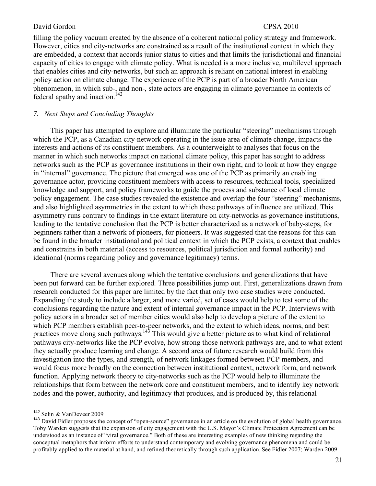filling the policy vacuum created by the absence of a coherent national policy strategy and framework. However, cities and city-networks are constrained as a result of the institutional context in which they are embedded, a context that accords junior status to cities and that limits the jurisdictional and financial capacity of cities to engage with climate policy. What is needed is a more inclusive, multilevel approach that enables cities and city-networks, but such an approach is reliant on national interest in enabling policy action on climate change. The experience of the PCP is part of a broader North American phenomenon, in which sub-, and non-, state actors are engaging in climate governance in contexts of federal apathy and inaction.<sup>142</sup>

## *7. Next Steps and Concluding Thoughts*

This paper has attempted to explore and illuminate the particular "steering" mechanisms through which the PCP, as a Canadian city-network operating in the issue area of climate change, impacts the interests and actions of its constituent members. As a counterweight to analyses that focus on the manner in which such networks impact on national climate policy, this paper has sought to address networks such as the PCP as governance institutions in their own right, and to look at how they engage in "internal" governance. The picture that emerged was one of the PCP as primarily an enabling governance actor, providing constituent members with access to resources, technical tools, specialized knowledge and support, and policy frameworks to guide the process and substance of local climate policy engagement. The case studies revealed the existence and overlap the four "steering" mechanisms, and also highlighted asymmetries in the extent to which these pathways of influence are utilized. This asymmetry runs contrary to findings in the extant literature on city-networks as governance institutions, leading to the tentative conclusion that the PCP is better characterized as a network of baby-steps, for beginners rather than a network of pioneers, for pioneers. It was suggested that the reasons for this can be found in the broader institutional and political context in which the PCP exists, a context that enables and constrains in both material (access to resources, political jurisdiction and formal authority) and ideational (norms regarding policy and governance legitimacy) terms.

There are several avenues along which the tentative conclusions and generalizations that have been put forward can be further explored. Three possibilities jump out. First, generalizations drawn from research conducted for this paper are limited by the fact that only two case studies were conducted. Expanding the study to include a larger, and more varied, set of cases would help to test some of the conclusions regarding the nature and extent of internal governance impact in the PCP. Interviews with policy actors in a broader set of member cities would also help to develop a picture of the extent to which PCP members establish peer-to-peer networks, and the extent to which ideas, norms, and best practices move along such pathways.<sup>143</sup> This would give a better picture as to what kind of relational pathways city-networks like the PCP evolve, how strong those network pathways are, and to what extent they actually produce learning and change. A second area of future research would build from this investigation into the types, and strength, of network linkages formed between PCP members, and would focus more broadly on the connection between institutional context, network form, and network function. Applying network theory to city-networks such as the PCP would help to illuminate the relationships that form between the network core and constituent members, and to identify key network nodes and the power, authority, and legitimacy that produces, and is produced by, this relational

<sup>142</sup> Selin & VanDeveer 2009

<sup>&</sup>lt;sup>143</sup> David Fidler proposes the concept of "open-source" governance in an article on the evolution of global health governance. Toby Warden suggests that the expansion of city engagement with the U.S. Mayor's Climate Protection Agreement can be understood as an instance of "viral governance." Both of these are interesting examples of new thinking regarding the conceptual metaphors that inform efforts to understand contemporary and evolving governance phenomena and could be profitably applied to the material at hand, and refined theoretically through such application. See Fidler 2007; Warden 2009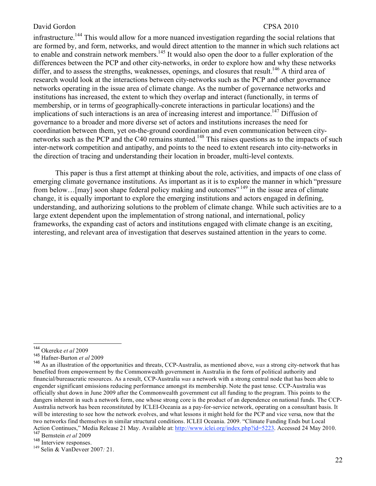infrastructure.<sup>144</sup> This would allow for a more nuanced investigation regarding the social relations that are formed by, and form, networks, and would direct attention to the manner in which such relations act to enable and constrain network members.<sup>145</sup> It would also open the door to a fuller exploration of the differences between the PCP and other city-networks, in order to explore how and why these networks differ, and to assess the strengths, weaknesses, openings, and closures that result.<sup>146</sup> A third area of research would look at the interactions between city-networks such as the PCP and other governance networks operating in the issue area of climate change. As the number of governance networks and institutions has increased, the extent to which they overlap and interact (functionally, in terms of membership, or in terms of geographically-concrete interactions in particular locations) and the implications of such interactions is an area of increasing interest and importance.<sup>147</sup> Diffusion of governance to a broader and more diverse set of actors and institutions increases the need for coordination between them, yet on-the-ground coordination and even communication between citynetworks such as the PCP and the C40 remains stunted.<sup>148</sup> This raises questions as to the impacts of such inter-network competition and antipathy, and points to the need to extent research into city-networks in the direction of tracing and understanding their location in broader, multi-level contexts.

This paper is thus a first attempt at thinking about the role, activities, and impacts of one class of emerging climate governance institutions. As important as it is to explore the manner in which "pressure from below...[may] soon shape federal policy making and outcomes<sup>", 149</sup> in the issue area of climate change, it is equally important to explore the emerging institutions and actors engaged in defining, understanding, and authorizing solutions to the problem of climate change. While such activities are to a large extent dependent upon the implementation of strong national, and international, policy frameworks, the expanding cast of actors and institutions engaged with climate change is an exciting, interesting, and relevant area of investigation that deserves sustained attention in the years to come.

<sup>144</sup> Okereke *et al*<sup>2009</sup>

<sup>145</sup> Hafner-Burton *et al* 2009

<sup>146</sup> As an illustration of the opportunities and threats, CCP-Australia, as mentioned above, *was* a strong city-network that has benefited from empowerment by the Commonwealth government in Australia in the form of political authority and financial/bureaucratic resources. As a result, CCP-Australia *was* a network with a strong central node that has been able to engender significant emissions reducing performance amongst its membership. Note the past tense. CCP-Australia was officially shut down in June 2009 after the Commonwealth government cut all funding to the program. This points to the dangers inherent in such a network form, one whose strong core is the product of an dependence on national funds. The CCP-Australia network has been reconstituted by ICLEI-Oceania as a pay-for-service network, operating on a consultant basis. It will be interesting to see how the network evolves, and what lessons it might hold for the PCP and vice versa, now that the two networks find themselves in similar structural conditions. ICLEI Oceania. 2009. "Climate Funding Ends but Local Action Continues," Media Release 21 May. Available at: http://www.iclei.org/index.php?id=5223. Accessed 24 May 2010.<br><sup>147</sup> Bernstein *et al* 2009<br><sup>148</sup> Interview responses.

<sup>&</sup>lt;sup>149</sup> Selin & VanDeveer 2007*:* 21.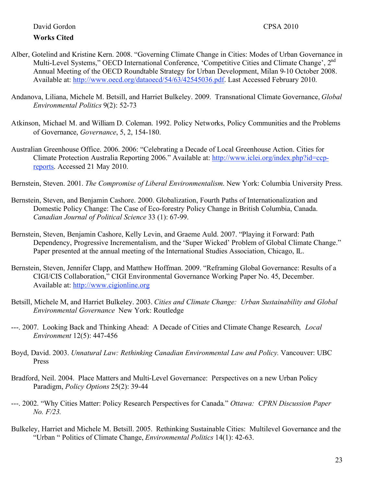- Alber, Gotelind and Kristine Kern. 2008. "Governing Climate Change in Cities: Modes of Urban Governance in Multi-Level Systems," OECD International Conference, 'Competitive Cities and Climate Change', 2<sup>nd</sup> Annual Meeting of the OECD Roundtable Strategy for Urban Development, Milan 9-10 October 2008. Available at: http://www.oecd.org/dataoecd/54/63/42545036.pdf. Last Accessed February 2010.
- Andanova, Liliana, Michele M. Betsill, and Harriet Bulkeley. 2009. Transnational Climate Governance, *Global Environmental Politics* 9(2): 52-73
- Atkinson, Michael M. and William D. Coleman. 1992. Policy Networks, Policy Communities and the Problems of Governance, *Governance*, 5, 2, 154-180.
- Australian Greenhouse Office. 2006. 2006: "Celebrating a Decade of Local Greenhouse Action. Cities for Climate Protection Australia Reporting 2006." Available at: http://www.iclei.org/index.php?id=ccpreports. Accessed 21 May 2010.

Bernstein, Steven. 2001. *The Compromise of Liberal Environmentalism*. New York: Columbia University Press.

- Bernstein, Steven, and Benjamin Cashore. 2000. Globalization, Fourth Paths of Internationalization and Domestic Policy Change: The Case of Eco-forestry Policy Change in British Columbia, Canada. *Canadian Journal of Political Science* 33 (1): 67-99.
- Bernstein, Steven, Benjamin Cashore, Kelly Levin, and Graeme Auld. 2007. "Playing it Forward: Path Dependency, Progressive Incrementalism, and the 'Super Wicked' Problem of Global Climate Change." Paper presented at the annual meeting of the International Studies Association, Chicago, IL.
- Bernstein, Steven, Jennifer Clapp, and Matthew Hoffman. 2009. "Reframing Global Governance: Results of a CIGI/CIS Collaboration," CIGI Environmental Governance Working Paper No. 45, December. Available at: http://www.cigionline.org
- Betsill, Michele M, and Harriet Bulkeley. 2003. *Cities and Climate Change: Urban Sustainability and Global Environmental Governance* New York: Routledge
- ---. 2007. Looking Back and Thinking Ahead: A Decade of Cities and Climate Change Research*, Local Environment* 12(5): 447-456
- Boyd, David. 2003. *Unnatural Law: Rethinking Canadian Environmental Law and Policy.* Vancouver: UBC Press
- Bradford, Neil. 2004. Place Matters and Multi-Level Governance: Perspectives on a new Urban Policy Paradigm, *Policy Options* 25(2): 39-44
- ---. 2002. "Why Cities Matter: Policy Research Perspectives for Canada." *Ottawa: CPRN Discussion Paper No. F/23.*
- Bulkeley, Harriet and Michele M. Betsill. 2005. Rethinking Sustainable Cities: Multilevel Governance and the "Urban " Politics of Climate Change, *Environmental Politics* 14(1): 42-63.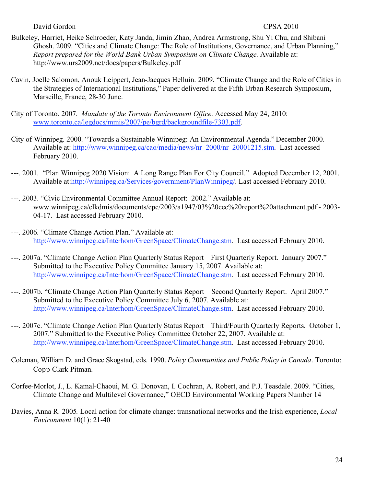- Bulkeley, Harriet, Heike Schroeder, Katy Janda, Jimin Zhao, Andrea Armstrong, Shu Yi Chu, and Shibani Ghosh. 2009. "Cities and Climate Change: The Role of Institutions, Governance, and Urban Planning," *Report prepared for the World Bank Urban Symposium on Climate Change*. Available at: http://www.urs2009.net/docs/papers/Bulkeley.pdf
- Cavin, Joelle Salomon, Anouk Leippert, Jean-Jacques Helluin. 2009. "Climate Change and the Role of Cities in the Strategies of International Institutions," Paper delivered at the Fifth Urban Research Symposium, Marseille, France, 28-30 June.
- City of Toronto. 2007. *Mandate of the Toronto Environment Office*. Accessed May 24, 2010: www.toronto.ca/legdocs/mmis/2007/pe/bgrd/backgroundfile-7303.pdf.
- City of Winnipeg. 2000. "Towards a Sustainable Winnipeg: An Environmental Agenda." December 2000. Available at: http://www.winnipeg.ca/cao/media/news/nr\_2000/nr\_20001215.stm. Last accessed February 2010.
- ---. 2001. "Plan Winnipeg 2020 Vision: A Long Range Plan For City Council." Adopted December 12, 2001. Available at:http://winnipeg.ca/Services/government/PlanWinnipeg/. Last accessed February 2010.
- ---. 2003. "Civic Environmental Committee Annual Report: 2002." Available at: www.winnipeg.ca/clkdmis/documents/epc/2003/a1947/03%20cec%20report%20attachment.pdf - 2003- 04-17. Last accessed February 2010.
- ---. 2006. "Climate Change Action Plan." Available at: http://www.winnipeg.ca/Interhom/GreenSpace/ClimateChange.stm. Last accessed February 2010.
- ---. 2007a. "Climate Change Action Plan Quarterly Status Report First Quarterly Report. January 2007." Submitted to the Executive Policy Committee January 15, 2007. Available at: http://www.winnipeg.ca/Interhom/GreenSpace/ClimateChange.stm. Last accessed February 2010.
- ---. 2007b. "Climate Change Action Plan Quarterly Status Report Second Quarterly Report. April 2007." Submitted to the Executive Policy Committee July 6, 2007. Available at: http://www.winnipeg.ca/Interhom/GreenSpace/ClimateChange.stm. Last accessed February 2010.
- ---. 2007c. "Climate Change Action Plan Quarterly Status Report Third/Fourth Quarterly Reports. October 1, 2007." Submitted to the Executive Policy Committee October 22, 2007. Available at: http://www.winnipeg.ca/Interhom/GreenSpace/ClimateChange.stm. Last accessed February 2010.
- Coleman, William D. and Grace Skogstad, eds. 1990. *Policy Communities and Publ*ic *Policy in Canada*. Toronto: Copp Clark Pitman.
- Corfee-Morlot, J., L. Kamal-Chaoui, M. G. Donovan, I. Cochran, A. Robert, and P.J. Teasdale. 2009. "Cities, Climate Change and Multilevel Governance," OECD Environmental Working Papers Number 14
- Davies, Anna R. 2005*.* Local action for climate change: transnational networks and the Irish experience, *Local Environment* 10(1): 21-40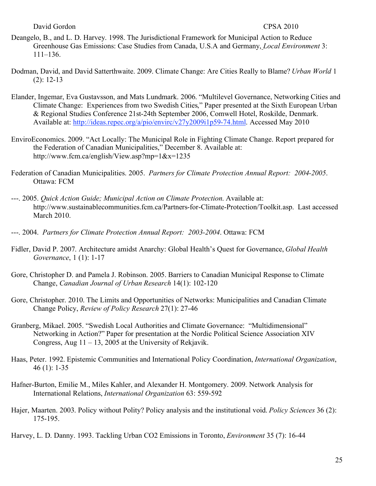- Deangelo, B., and L. D. Harvey. 1998. The Jurisdictional Framework for Municipal Action to Reduce Greenhouse Gas Emissions: Case Studies from Canada, U.S.A and Germany, *Local Environment* 3: 111–136.
- Dodman, David, and David Satterthwaite. 2009. Climate Change: Are Cities Really to Blame? *Urban World* 1 (2): 12-13
- Elander, Ingemar, Eva Gustavsson, and Mats Lundmark. 2006. "Multilevel Governance, Networking Cities and Climate Change: Experiences from two Swedish Cities," Paper presented at the Sixth European Urban & Regional Studies Conference 21st-24th September 2006, Comwell Hotel, Roskilde, Denmark. Available at: http://ideas.repec.org/a/pio/envirc/v27y2009i1p59-74.html. Accessed May 2010
- EnviroEconomics. 2009. "Act Locally: The Municipal Role in Fighting Climate Change. Report prepared for the Federation of Canadian Municipalities," December 8. Available at: http://www.fcm.ca/english/View.asp?mp=1&x=1235
- Federation of Canadian Municipalities. 2005. *Partners for Climate Protection Annual Report: 2004-2005*. Ottawa: FCM
- ---. 2005. *Quick Action Guide; Municipal Action on Climate Protection*. Available at: http://www.sustainablecommunities.fcm.ca/Partners-for-Climate-Protection/Toolkit.asp. Last accessed March 2010.
- ---. 2004. *Partners for Climate Protection Annual Report: 2003-2004*. Ottawa: FCM
- Fidler, David P. 2007. Architecture amidst Anarchy: Global Health's Quest for Governance, *Global Health Governance*, 1 (1): 1-17
- Gore, Christopher D. and Pamela J. Robinson. 2005. Barriers to Canadian Municipal Response to Climate Change, *Canadian Journal of Urban Research* 14(1): 102-120
- Gore, Christopher. 2010. The Limits and Opportunities of Networks: Municipalities and Canadian Climate Change Policy, *Review of Policy Research* 27(1): 27-46
- Granberg, Mikael. 2005. "Swedish Local Authorities and Climate Governance: "Multidimensional" Networking in Action?" Paper for presentation at the Nordic Political Science Association XIV Congress, Aug  $11 - 13$ , 2005 at the University of Rekjavik.
- Haas, Peter. 1992. Epistemic Communities and International Policy Coordination, *International Organization*, 46 (1): 1-35
- Hafner-Burton, Emilie M., Miles Kahler, and Alexander H. Montgomery. 2009. Network Analysis for International Relations, *International Organization* 63: 559-592
- Hajer, Maarten. 2003. Policy without Polity? Policy analysis and the institutional void. *Policy Sciences* 36 (2): 175-195.
- Harvey, L. D. Danny. 1993. Tackling Urban CO2 Emissions in Toronto, *Environment* 35 (7): 16-44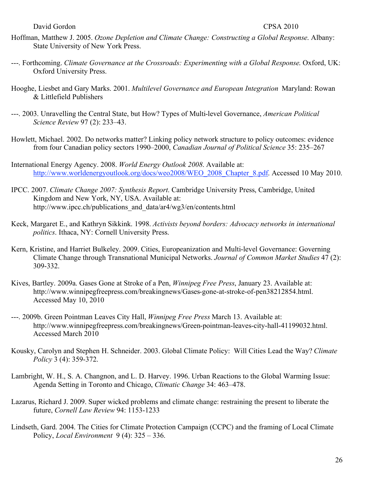- Hoffman, Matthew J. 2005. *Ozone Depletion and Climate Change: Constructing a Global Response*. Albany: State University of New York Press.
- ---. Forthcoming. *Climate Governance at the Crossroads: Experimenting with a Global Response*. Oxford, UK: Oxford University Press.
- Hooghe, Liesbet and Gary Marks. 2001. *Multilevel Governance and European Integration* Maryland: Rowan & Littlefield Publishers
- ---. 2003. Unravelling the Central State, but How? Types of Multi-level Governance, *American Political Science Review* 97 (2): 233–43.
- Howlett, Michael. 2002. Do networks matter? Linking policy network structure to policy outcomes: evidence from four Canadian policy sectors 1990–2000, *Canadian Journal of Political Science* 35: 235–267
- International Energy Agency. 2008. *World Energy Outlook 2008*. Available at: http://www.worldenergyoutlook.org/docs/weo2008/WEO\_2008\_Chapter\_8.pdf. Accessed 10 May 2010.
- IPCC. 2007. *Climate Change 2007: Synthesis Report*. Cambridge University Press, Cambridge, United Kingdom and New York, NY, USA. Available at: http://www.ipcc.ch/publications\_and\_data/ar4/wg3/en/contents.html
- Keck, Margaret E., and Kathryn Sikkink. 1998. *Activists beyond borders: Advocacy networks in international politics*. Ithaca, NY: Cornell University Press.
- Kern, Kristine, and Harriet Bulkeley. 2009. Cities, Europeanization and Multi-level Governance: Governing Climate Change through Transnational Municipal Networks. *Journal of Common Market Studies* 47 (2): 309-332.
- Kives, Bartley. 2009a. Gases Gone at Stroke of a Pen, *Winnipeg Free Press*, January 23. Available at: http://www.winnipegfreepress.com/breakingnews/Gases-gone-at-stroke-of-pen38212854.html. Accessed May 10, 2010
- ---. 2009b. Green Pointman Leaves City Hall, *Winnipeg Free Press* March 13. Available at: http://www.winnipegfreepress.com/breakingnews/Green-pointman-leaves-city-hall-41199032.html. Accessed March 2010
- Kousky, Carolyn and Stephen H. Schneider. 2003. Global Climate Policy: Will Cities Lead the Way? *Climate Policy* 3 (4): 359-372.
- Lambright, W. H., S. A. Changnon, and L. D. Harvey. 1996. Urban Reactions to the Global Warming Issue: Agenda Setting in Toronto and Chicago, *Climatic Change* 34: 463–478.
- Lazarus, Richard J. 2009. Super wicked problems and climate change: restraining the present to liberate the future, *Cornell Law Review* 94: 1153-1233
- Lindseth, Gard. 2004. The Cities for Climate Protection Campaign (CCPC) and the framing of Local Climate Policy, *Local Environment* 9 (4): 325 – 336.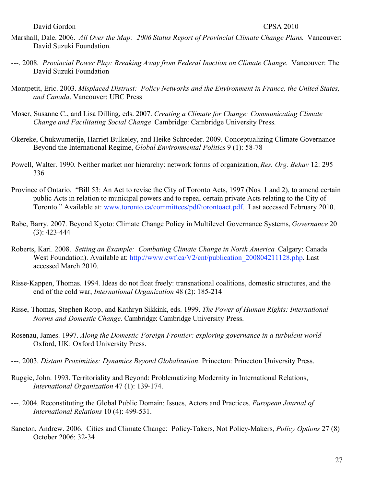- Marshall, Dale. 2006. *All Over the Map: 2006 Status Report of Provincial Climate Change Plans*. Vancouver: David Suzuki Foundation.
- ---. 2008. *Provincial Power Play: Breaking Away from Federal Inaction on Climate Change*. Vancouver: The David Suzuki Foundation
- Montpetit, Eric. 2003. *Misplaced Distrust: Policy Networks and the Environment in France, the United States, and Canada*. Vancouver: UBC Press
- Moser, Susanne C., and Lisa Dilling, eds. 2007. *Creating a Climate for Change: Communicating Climate Change and Facilitating Social Change* Cambridge: Cambridge University Press.
- Okereke, Chukwumerije, Harriet Bulkeley, and Heike Schroeder. 2009. Conceptualizing Climate Governance Beyond the International Regime, *Global Environmental Politics* 9 (1): 58-78
- Powell, Walter. 1990. Neither market nor hierarchy: network forms of organization, *Res. Org. Behav* 12: 295– 336
- Province of Ontario. "Bill 53: An Act to revise the City of Toronto Acts, 1997 (Nos. 1 and 2), to amend certain public Acts in relation to municipal powers and to repeal certain private Acts relating to the City of Toronto." Available at: www.toronto.ca/committees/pdf/torontoact.pdf. Last accessed February 2010.
- Rabe, Barry. 2007. Beyond Kyoto: Climate Change Policy in Multilevel Governance Systems, *Governance* 20 (3): 423-444
- Roberts, Kari. 2008. *Setting an Example: Combating Climate Change in North America* Calgary: Canada West Foundation). Available at: http://www.cwf.ca/V2/cnt/publication\_200804211128.php. Last accessed March 2010.
- Risse-Kappen, Thomas. 1994. Ideas do not float freely: transnational coalitions, domestic structures, and the end of the cold war, *International Organization* 48 (2): 185-214
- Risse, Thomas, Stephen Ropp, and Kathryn Sikkink, eds. 1999. *The Power of Human Rights: International Norms and Domestic Change*. Cambridge: Cambridge University Press.
- Rosenau, James. 1997. *Along the Domestic-Foreign Frontier: exploring governance in a turbulent world* Oxford, UK: Oxford University Press.
- ---. 2003. *Distant Proximities: Dynamics Beyond Globalization*. Princeton: Princeton University Press.
- Ruggie, John. 1993. Territoriality and Beyond: Problematizing Modernity in International Relations, *International Organization* 47 (1): 139-174.
- ---. 2004. Reconstituting the Global Public Domain: Issues, Actors and Practices. *European Journal of International Relations* 10 (4): 499-531.
- Sancton, Andrew. 2006. Cities and Climate Change: Policy-Takers, Not Policy-Makers, *Policy Options* 27 (8) October 2006: 32-34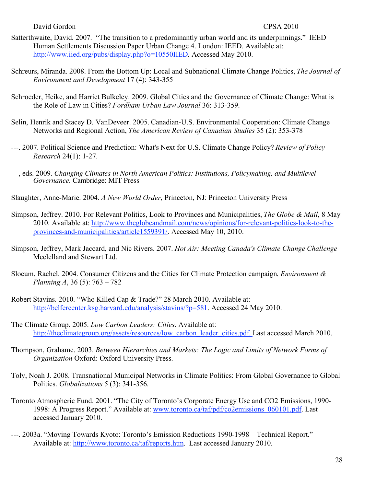- Satterthwaite, David. 2007. "The transition to a predominantly urban world and its underpinnings." IEED Human Settlements Discussion Paper Urban Change 4. London: IEED. Available at: http://www.iied.org/pubs/display.php?o=10550IIED. Accessed May 2010.
- Schreurs, Miranda. 2008. From the Bottom Up: Local and Subnational Climate Change Politics, *The Journal of Environment and Development* 17 (4): 343-355
- Schroeder, Heike, and Harriet Bulkeley. 2009. Global Cities and the Governance of Climate Change: What is the Role of Law in Cities? *Fordham Urban Law Journal* 36: 313-359.
- Selin, Henrik and Stacey D. VanDeveer. 2005. Canadian-U.S. Environmental Cooperation: Climate Change Networks and Regional Action, *The American Review of Canadian Studies* 35 (2): 353-378
- ---. 2007. Political Science and Prediction: What's Next for U.S. Climate Change Policy? *Review of Policy Research* 24(1): 1-27.
- ---, eds. 2009. *Changing Climates in North American Politics: Institutions, Policymaking, and Multilevel Governance*. Cambridge: MIT Press
- Slaughter, Anne-Marie. 2004. *A New World Order*, Princeton, NJ: Princeton University Press
- Simpson, Jeffrey. 2010. For Relevant Politics, Look to Provinces and Municipalities, *The Globe & Mail*, 8 May 2010. Available at: http://www.theglobeandmail.com/news/opinions/for-relevant-politics-look-to-theprovinces-and-municipalities/article1559391/. Accessed May 10, 2010.
- Simpson, Jeffrey, Mark Jaccard, and Nic Rivers. 2007. *Hot Air: Meeting Canada's Climate Change Challenge* Mcclelland and Stewart Ltd.
- Slocum, Rachel. 2004. Consumer Citizens and the Cities for Climate Protection campaign, *Environment & Planning A*, 36 (5): 763 – 782
- Robert Stavins. 2010. "Who Killed Cap & Trade?" 28 March 2010. Available at: http://belfercenter.ksg.harvard.edu/analysis/stavins/?p=581. Accessed 24 May 2010.
- The Climate Group. 2005. *Low Carbon Leaders: Cities*. Available at: http://theclimategroup.org/assets/resources/low\_carbon\_leader\_cities.pdf. Last accessed March 2010.
- Thompson, Grahame. 2003. *Between Hierarchies and Markets: The Logic and Limits of Network Forms of Organization* Oxford: Oxford University Press.
- Toly, Noah J. 2008. Transnational Municipal Networks in Climate Politics: From Global Governance to Global Politics. *Globalizations* 5 (3): 341-356.
- Toronto Atmospheric Fund. 2001. "The City of Toronto's Corporate Energy Use and CO2 Emissions, 1990- 1998: A Progress Report." Available at: www.toronto.ca/taf/pdf/co2emissions 060101.pdf. Last accessed January 2010.
- ---. 2003a. "Moving Towards Kyoto: Toronto's Emission Reductions 1990-1998 Technical Report." Available at: http://www.toronto.ca/taf/reports.htm. Last accessed January 2010.